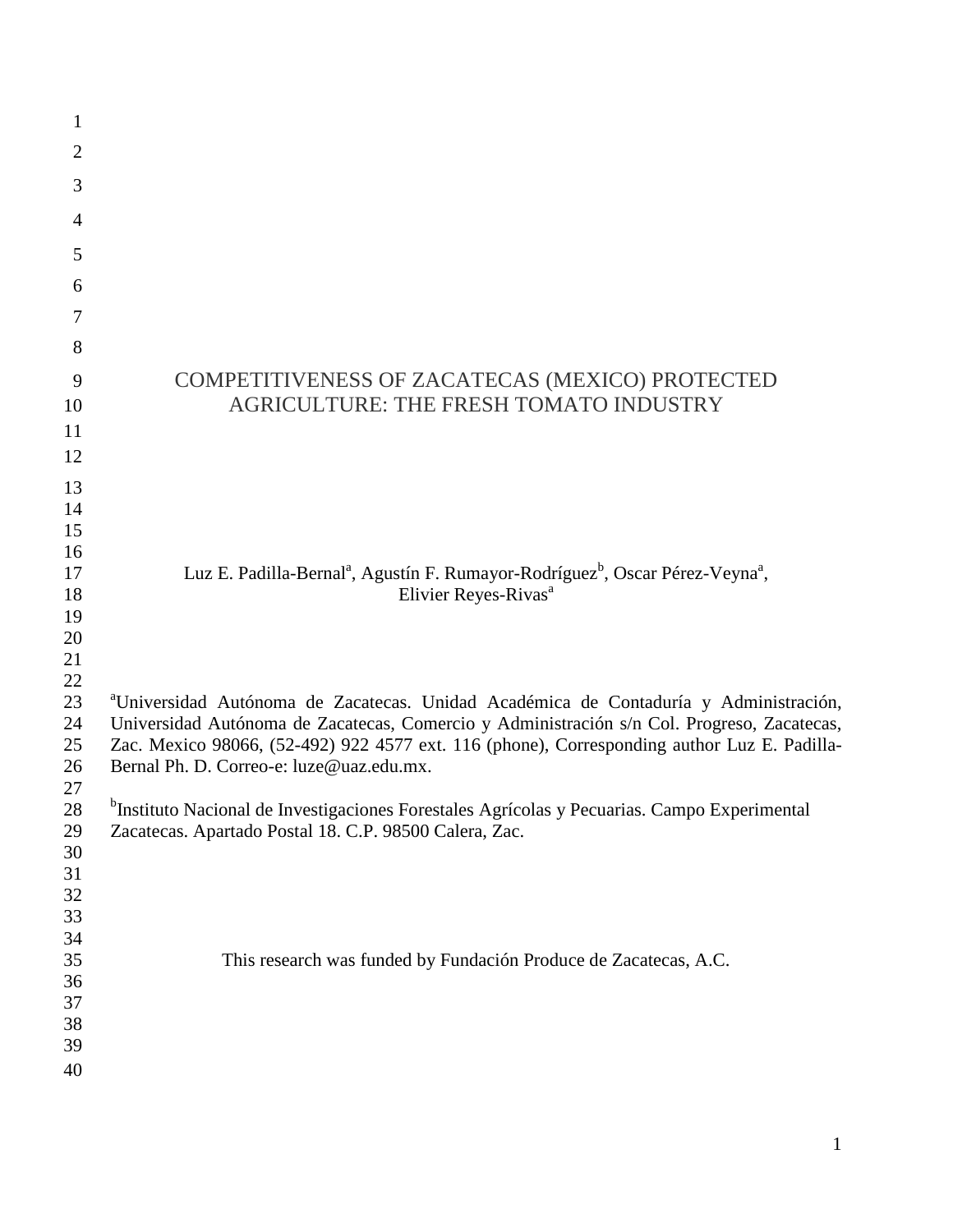| 1                                                  |                                                                                                                                                                                                                                                                                                                                           |
|----------------------------------------------------|-------------------------------------------------------------------------------------------------------------------------------------------------------------------------------------------------------------------------------------------------------------------------------------------------------------------------------------------|
| $\overline{2}$                                     |                                                                                                                                                                                                                                                                                                                                           |
| 3                                                  |                                                                                                                                                                                                                                                                                                                                           |
| 4                                                  |                                                                                                                                                                                                                                                                                                                                           |
| 5                                                  |                                                                                                                                                                                                                                                                                                                                           |
| 6                                                  |                                                                                                                                                                                                                                                                                                                                           |
| 7                                                  |                                                                                                                                                                                                                                                                                                                                           |
| 8                                                  |                                                                                                                                                                                                                                                                                                                                           |
| 9<br>10<br>11<br>12                                | COMPETITIVENESS OF ZACATECAS (MEXICO) PROTECTED<br>AGRICULTURE: THE FRESH TOMATO INDUSTRY                                                                                                                                                                                                                                                 |
| 13<br>14<br>15<br>16                               |                                                                                                                                                                                                                                                                                                                                           |
| 17<br>18<br>19<br>20<br>21<br>22                   | Luz E. Padilla-Bernal <sup>a</sup> , Agustín F. Rumayor-Rodríguez <sup>b</sup> , Oscar Pérez-Veyna <sup>a</sup> ,<br>Elivier Reyes-Rivas <sup>a</sup>                                                                                                                                                                                     |
| 23<br>24<br>25<br>26<br>27                         | <sup>a</sup> Universidad Autónoma de Zacatecas. Unidad Académica de Contaduría y Administración,<br>Universidad Autónoma de Zacatecas, Comercio y Administración s/n Col. Progreso, Zacatecas,<br>Zac. Mexico 98066, (52-492) 922 4577 ext. 116 (phone), Corresponding author Luz E. Padilla-<br>Bernal Ph. D. Correo-e: luze@uaz.edu.mx. |
| $28\,$<br>29<br>30<br>31                           | <sup>b</sup> Instituto Nacional de Investigaciones Forestales Agrícolas y Pecuarias. Campo Experimental<br>Zacatecas. Apartado Postal 18. C.P. 98500 Calera, Zac.                                                                                                                                                                         |
| 32<br>33<br>34<br>35<br>36<br>37<br>38<br>39<br>40 | This research was funded by Fundación Produce de Zacatecas, A.C.                                                                                                                                                                                                                                                                          |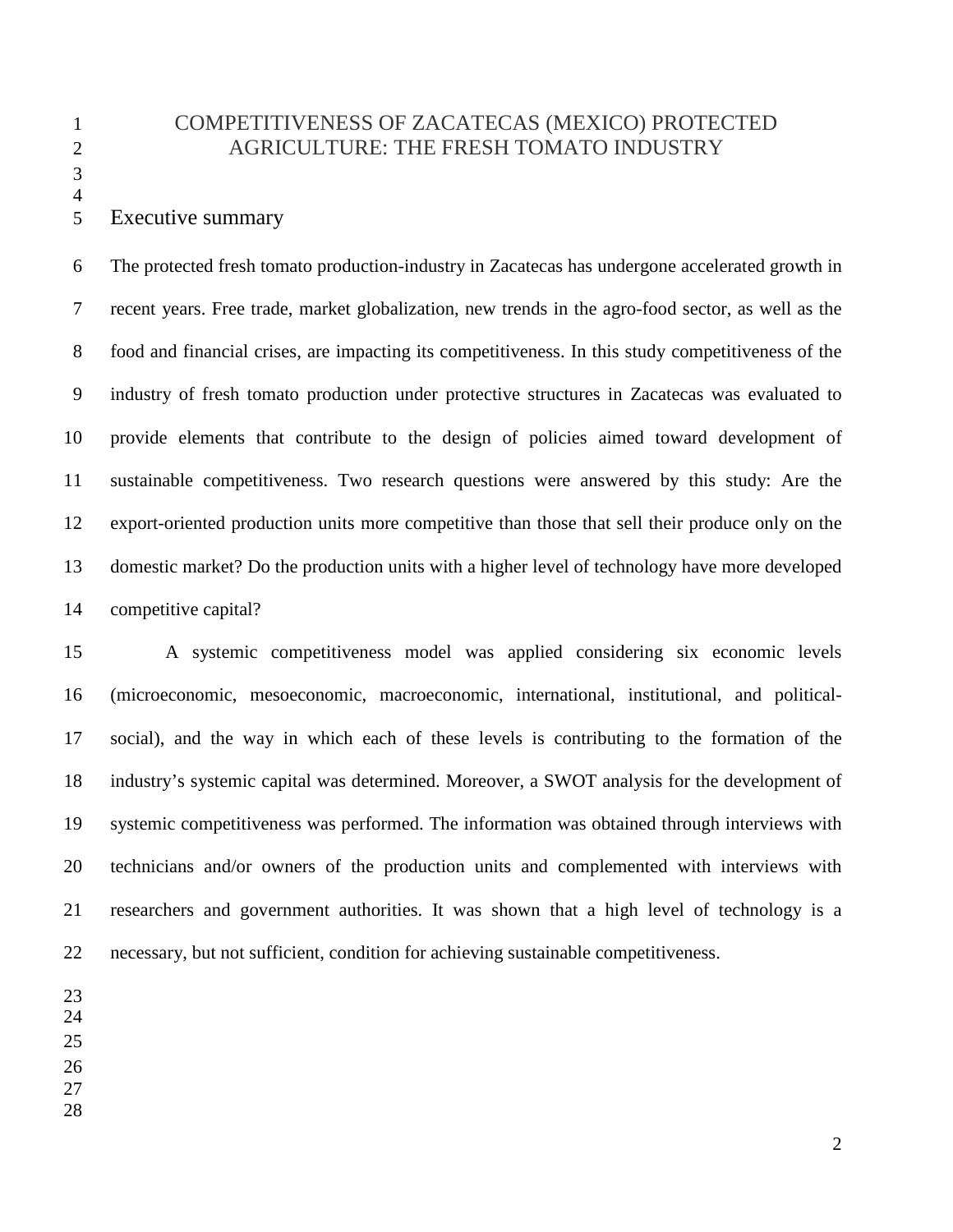# 1 COMPETITIVENESS OF ZACATECAS (MEXICO) PROTECTED 2 AGRICULTURE: THE FRESH TOMATO INDUSTRY

4

# 5 Executive summary

6 The protected fresh tomato production-industry in Zacatecas has undergone accelerated growth in 7 recent years. Free trade, market globalization, new trends in the agro-food sector, as well as the 8 food and financial crises, are impacting its competitiveness. In this study competitiveness of the 9 industry of fresh tomato production under protective structures in Zacatecas was evaluated to 10 provide elements that contribute to the design of policies aimed toward development of 11 sustainable competitiveness. Two research questions were answered by this study: Are the 12 export-oriented production units more competitive than those that sell their produce only on the 13 domestic market? Do the production units with a higher level of technology have more developed 14 competitive capital?

15 A systemic competitiveness model was applied considering six economic levels 16 (microeconomic, mesoeconomic, macroeconomic, international, institutional, and political-17 social), and the way in which each of these levels is contributing to the formation of the 18 industry's systemic capital was determined. Moreover, a SWOT analysis for the development of 19 systemic competitiveness was performed. The information was obtained through interviews with 20 technicians and/or owners of the production units and complemented with interviews with 21 researchers and government authorities. It was shown that a high level of technology is a 22 necessary, but not sufficient, condition for achieving sustainable competitiveness.

- 24
- 25
- 26
- 27 28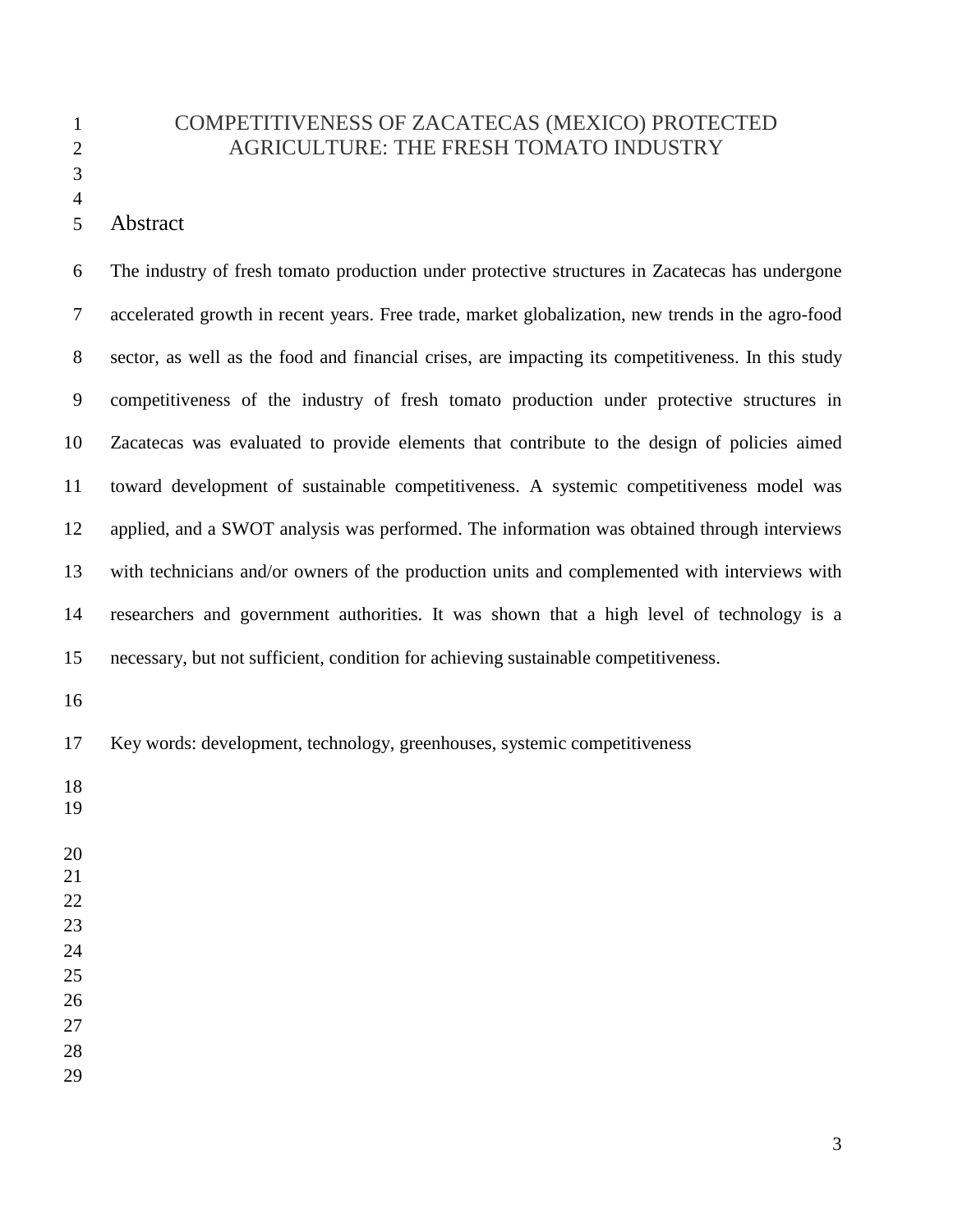# COMPETITIVENESS OF ZACATECAS (MEXICO) PROTECTED AGRICULTURE: THE FRESH TOMATO INDUSTRY

| 6        | The industry of fresh tomato production under protective structures in Zacatecas has undergone     |
|----------|----------------------------------------------------------------------------------------------------|
| $\tau$   | accelerated growth in recent years. Free trade, market globalization, new trends in the agro-food  |
| 8        | sector, as well as the food and financial crises, are impacting its competitiveness. In this study |
| 9        | competitiveness of the industry of fresh tomato production under protective structures in          |
| 10       | Zacatecas was evaluated to provide elements that contribute to the design of policies aimed        |
| 11       | toward development of sustainable competitiveness. A systemic competitiveness model was            |
| 12       | applied, and a SWOT analysis was performed. The information was obtained through interviews        |
| 13       | with technicians and/or owners of the production units and complemented with interviews with       |
| 14       | researchers and government authorities. It was shown that a high level of technology is a          |
| 15       | necessary, but not sufficient, condition for achieving sustainable competitiveness.                |
| 16       |                                                                                                    |
| 17       | Key words: development, technology, greenhouses, systemic competitiveness                          |
| 18<br>19 |                                                                                                    |
|          |                                                                                                    |

Abstract

- 
- 
- 
- 
- 

- 
-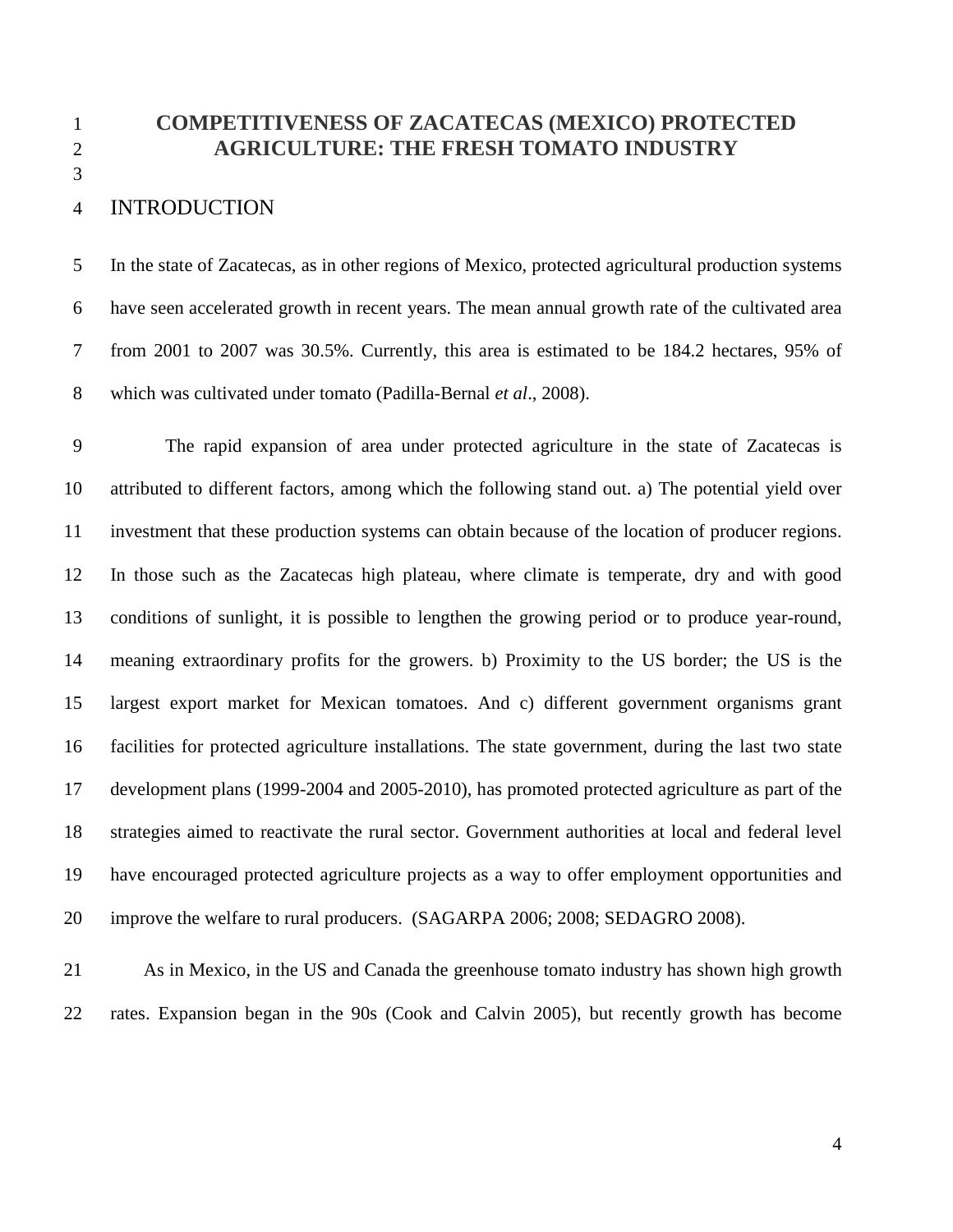1 **COMPETITIVENESS OF ZACATECAS (MEXICO) PROTECTED**  2 **AGRICULTURE: THE FRESH TOMATO INDUSTRY**

# 4 INTRODUCTION

3

5 In the state of Zacatecas, as in other regions of Mexico, protected agricultural production systems 6 have seen accelerated growth in recent years. The mean annual growth rate of the cultivated area 7 from 2001 to 2007 was 30.5%. Currently, this area is estimated to be 184.2 hectares, 95% of 8 which was cultivated under tomato (Padilla-Bernal *et al*., 2008).

9 The rapid expansion of area under protected agriculture in the state of Zacatecas is 10 attributed to different factors, among which the following stand out. a) The potential yield over 11 investment that these production systems can obtain because of the location of producer regions. 12 In those such as the Zacatecas high plateau, where climate is temperate, dry and with good 13 conditions of sunlight, it is possible to lengthen the growing period or to produce year-round, 14 meaning extraordinary profits for the growers. b) Proximity to the US border; the US is the 15 largest export market for Mexican tomatoes. And c) different government organisms grant 16 facilities for protected agriculture installations. The state government, during the last two state 17 development plans (1999-2004 and 2005-2010), has promoted protected agriculture as part of the 18 strategies aimed to reactivate the rural sector. Government authorities at local and federal level 19 have encouraged protected agriculture projects as a way to offer employment opportunities and 20 improve the welfare to rural producers. (SAGARPA 2006; 2008; SEDAGRO 2008).

21 As in Mexico, in the US and Canada the greenhouse tomato industry has shown high growth 22 rates. Expansion began in the 90s (Cook and Calvin 2005), but recently growth has become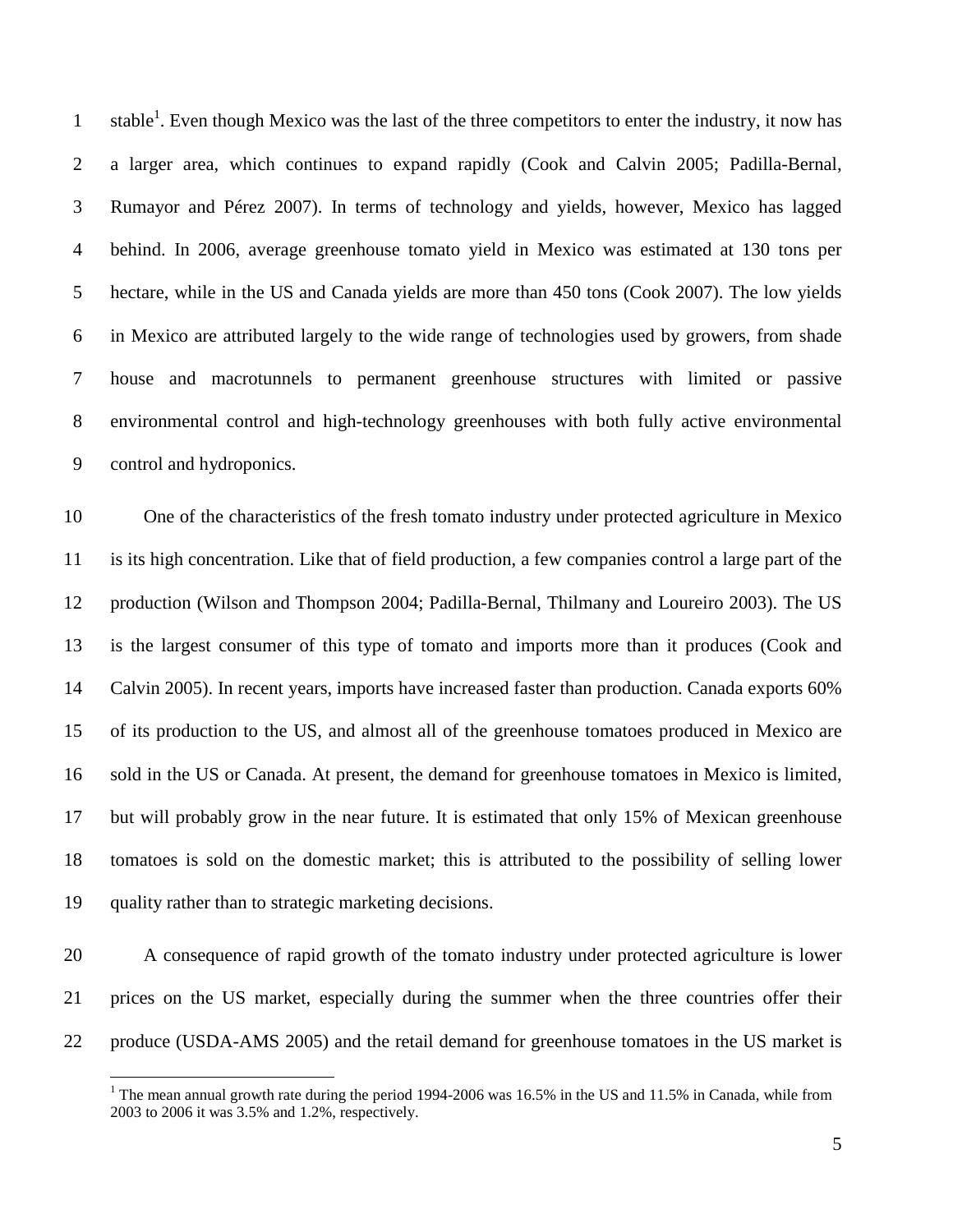1 stable<sup>1</sup>. Even though Mexico was the last of the three competitors to enter the industry, it now has 2 a larger area, which continues to expand rapidly (Cook and Calvin 2005; Padilla-Bernal, 3 Rumayor and Pérez 2007). In terms of technology and yields, however, Mexico has lagged 4 behind. In 2006, average greenhouse tomato yield in Mexico was estimated at 130 tons per 5 hectare, while in the US and Canada yields are more than 450 tons (Cook 2007). The low yields 6 in Mexico are attributed largely to the wide range of technologies used by growers, from shade 7 house and macrotunnels to permanent greenhouse structures with limited or passive 8 environmental control and high-technology greenhouses with both fully active environmental 9 control and hydroponics.

10 One of the characteristics of the fresh tomato industry under protected agriculture in Mexico 11 is its high concentration. Like that of field production, a few companies control a large part of the 12 production (Wilson and Thompson 2004; Padilla-Bernal, Thilmany and Loureiro 2003). The US 13 is the largest consumer of this type of tomato and imports more than it produces (Cook and 14 Calvin 2005). In recent years, imports have increased faster than production. Canada exports 60% 15 of its production to the US, and almost all of the greenhouse tomatoes produced in Mexico are 16 sold in the US or Canada. At present, the demand for greenhouse tomatoes in Mexico is limited, 17 but will probably grow in the near future. It is estimated that only 15% of Mexican greenhouse 18 tomatoes is sold on the domestic market; this is attributed to the possibility of selling lower 19 quality rather than to strategic marketing decisions.

20 A consequence of rapid growth of the tomato industry under protected agriculture is lower 21 prices on the US market, especially during the summer when the three countries offer their 22 produce (USDA-AMS 2005) and the retail demand for greenhouse tomatoes in the US market is

 $\overline{a}$ 

<sup>&</sup>lt;sup>1</sup> The mean annual growth rate during the period 1994-2006 was 16.5% in the US and 11.5% in Canada, while from 2003 to 2006 it was 3.5% and 1.2%, respectively.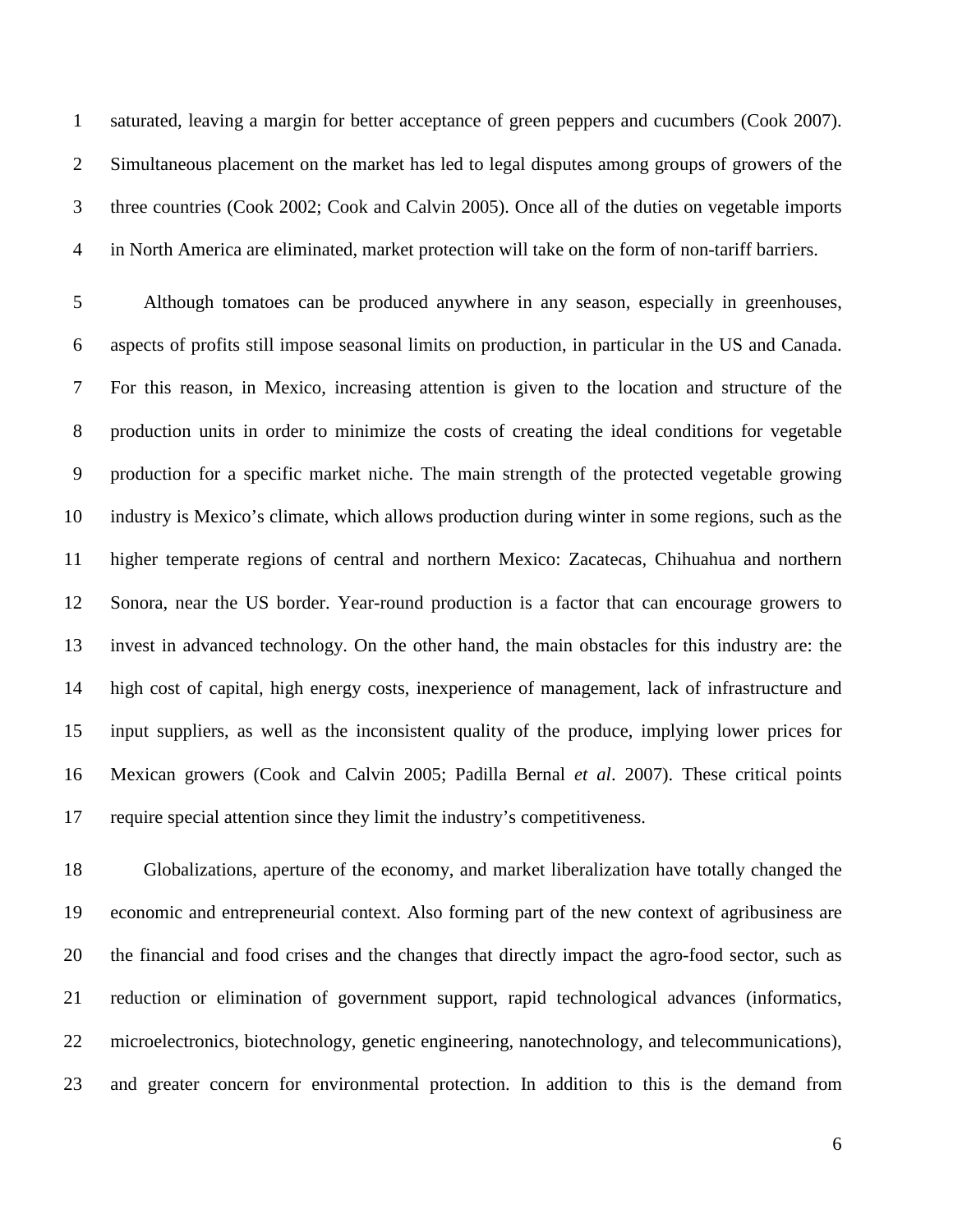1 saturated, leaving a margin for better acceptance of green peppers and cucumbers (Cook 2007). 2 Simultaneous placement on the market has led to legal disputes among groups of growers of the 3 three countries (Cook 2002; Cook and Calvin 2005). Once all of the duties on vegetable imports 4 in North America are eliminated, market protection will take on the form of non-tariff barriers.

5 Although tomatoes can be produced anywhere in any season, especially in greenhouses, 6 aspects of profits still impose seasonal limits on production, in particular in the US and Canada. 7 For this reason, in Mexico, increasing attention is given to the location and structure of the 8 production units in order to minimize the costs of creating the ideal conditions for vegetable 9 production for a specific market niche. The main strength of the protected vegetable growing 10 industry is Mexico's climate, which allows production during winter in some regions, such as the 11 higher temperate regions of central and northern Mexico: Zacatecas, Chihuahua and northern 12 Sonora, near the US border. Year-round production is a factor that can encourage growers to 13 invest in advanced technology. On the other hand, the main obstacles for this industry are: the 14 high cost of capital, high energy costs, inexperience of management, lack of infrastructure and 15 input suppliers, as well as the inconsistent quality of the produce, implying lower prices for 16 Mexican growers (Cook and Calvin 2005; Padilla Bernal *et al*. 2007). These critical points 17 require special attention since they limit the industry's competitiveness.

18 Globalizations, aperture of the economy, and market liberalization have totally changed the 19 economic and entrepreneurial context. Also forming part of the new context of agribusiness are 20 the financial and food crises and the changes that directly impact the agro-food sector, such as 21 reduction or elimination of government support, rapid technological advances (informatics, 22 microelectronics, biotechnology, genetic engineering, nanotechnology, and telecommunications), 23 and greater concern for environmental protection. In addition to this is the demand from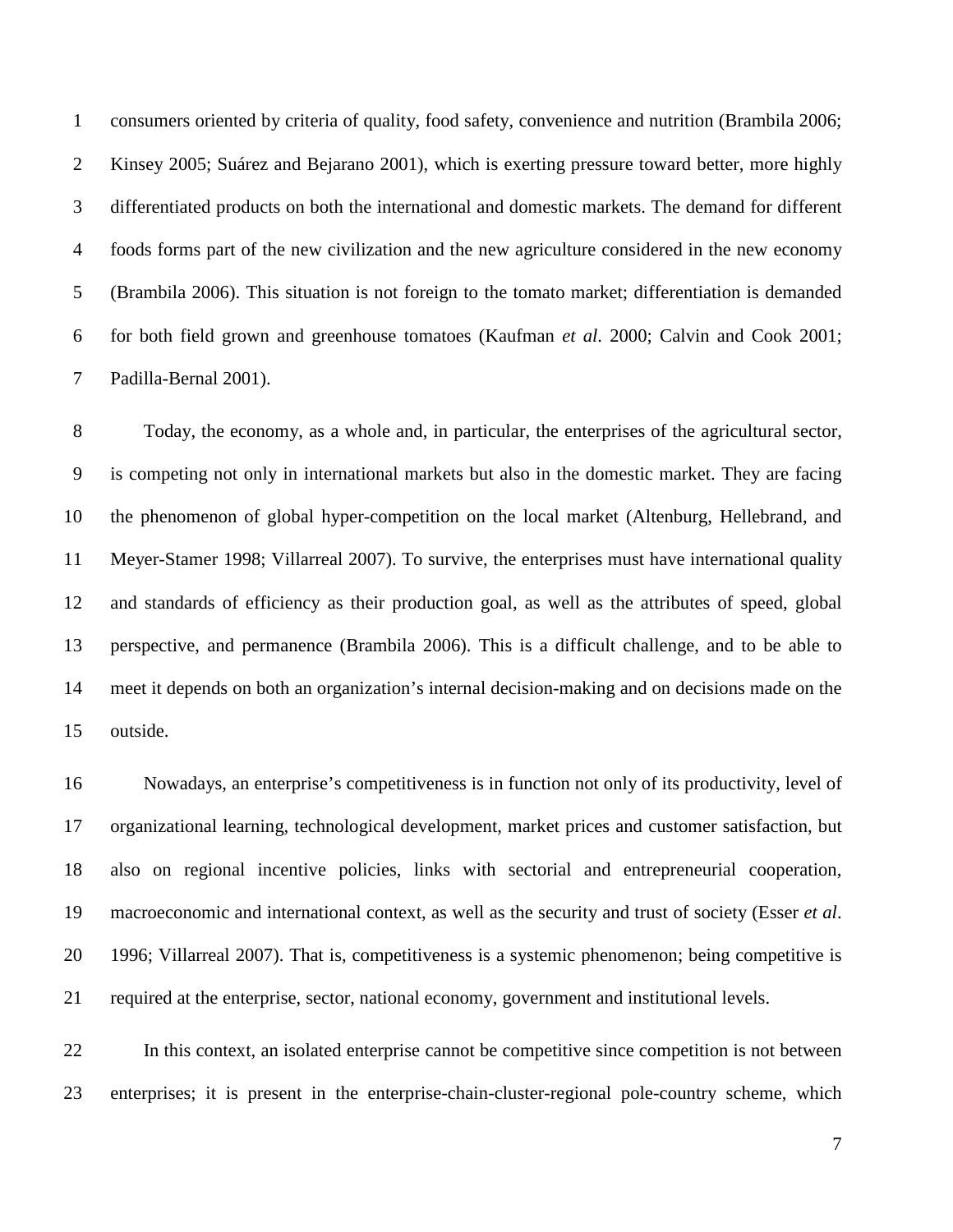1 consumers oriented by criteria of quality, food safety, convenience and nutrition (Brambila 2006; 2 Kinsey 2005; Suárez and Bejarano 2001), which is exerting pressure toward better, more highly 3 differentiated products on both the international and domestic markets. The demand for different 4 foods forms part of the new civilization and the new agriculture considered in the new economy 5 (Brambila 2006). This situation is not foreign to the tomato market; differentiation is demanded 6 for both field grown and greenhouse tomatoes (Kaufman *et al*. 2000; Calvin and Cook 2001; 7 Padilla-Bernal 2001).

8 Today, the economy, as a whole and, in particular, the enterprises of the agricultural sector, 9 is competing not only in international markets but also in the domestic market. They are facing 10 the phenomenon of global hyper-competition on the local market (Altenburg, Hellebrand, and 11 Meyer-Stamer 1998; Villarreal 2007). To survive, the enterprises must have international quality 12 and standards of efficiency as their production goal, as well as the attributes of speed, global 13 perspective, and permanence (Brambila 2006). This is a difficult challenge, and to be able to 14 meet it depends on both an organization's internal decision-making and on decisions made on the 15 outside.

16 Nowadays, an enterprise's competitiveness is in function not only of its productivity, level of 17 organizational learning, technological development, market prices and customer satisfaction, but 18 also on regional incentive policies, links with sectorial and entrepreneurial cooperation, 19 macroeconomic and international context, as well as the security and trust of society (Esser *et al*. 20 1996; Villarreal 2007). That is, competitiveness is a systemic phenomenon; being competitive is 21 required at the enterprise, sector, national economy, government and institutional levels.

22 In this context, an isolated enterprise cannot be competitive since competition is not between 23 enterprises; it is present in the enterprise-chain-cluster-regional pole-country scheme, which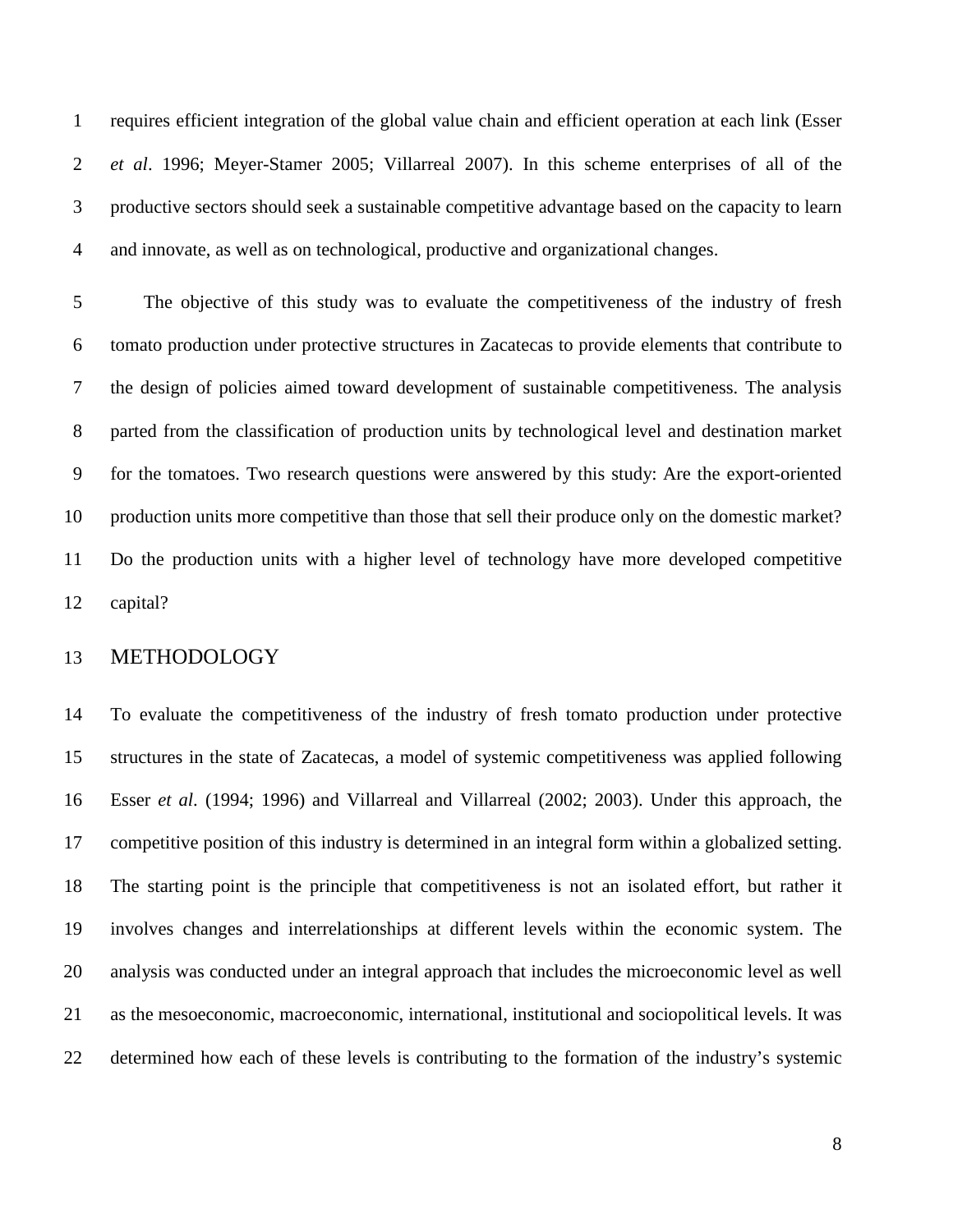1 requires efficient integration of the global value chain and efficient operation at each link (Esser 2 *et al*. 1996; Meyer-Stamer 2005; Villarreal 2007). In this scheme enterprises of all of the 3 productive sectors should seek a sustainable competitive advantage based on the capacity to learn 4 and innovate, as well as on technological, productive and organizational changes.

5 The objective of this study was to evaluate the competitiveness of the industry of fresh 6 tomato production under protective structures in Zacatecas to provide elements that contribute to 7 the design of policies aimed toward development of sustainable competitiveness. The analysis 8 parted from the classification of production units by technological level and destination market 9 for the tomatoes. Two research questions were answered by this study: Are the export-oriented 10 production units more competitive than those that sell their produce only on the domestic market? 11 Do the production units with a higher level of technology have more developed competitive 12 capital?

#### 13 METHODOLOGY

14 To evaluate the competitiveness of the industry of fresh tomato production under protective 15 structures in the state of Zacatecas, a model of systemic competitiveness was applied following 16 Esser *et al*. (1994; 1996) and Villarreal and Villarreal (2002; 2003). Under this approach, the 17 competitive position of this industry is determined in an integral form within a globalized setting. 18 The starting point is the principle that competitiveness is not an isolated effort, but rather it 19 involves changes and interrelationships at different levels within the economic system. The 20 analysis was conducted under an integral approach that includes the microeconomic level as well 21 as the mesoeconomic, macroeconomic, international, institutional and sociopolitical levels. It was 22 determined how each of these levels is contributing to the formation of the industry's systemic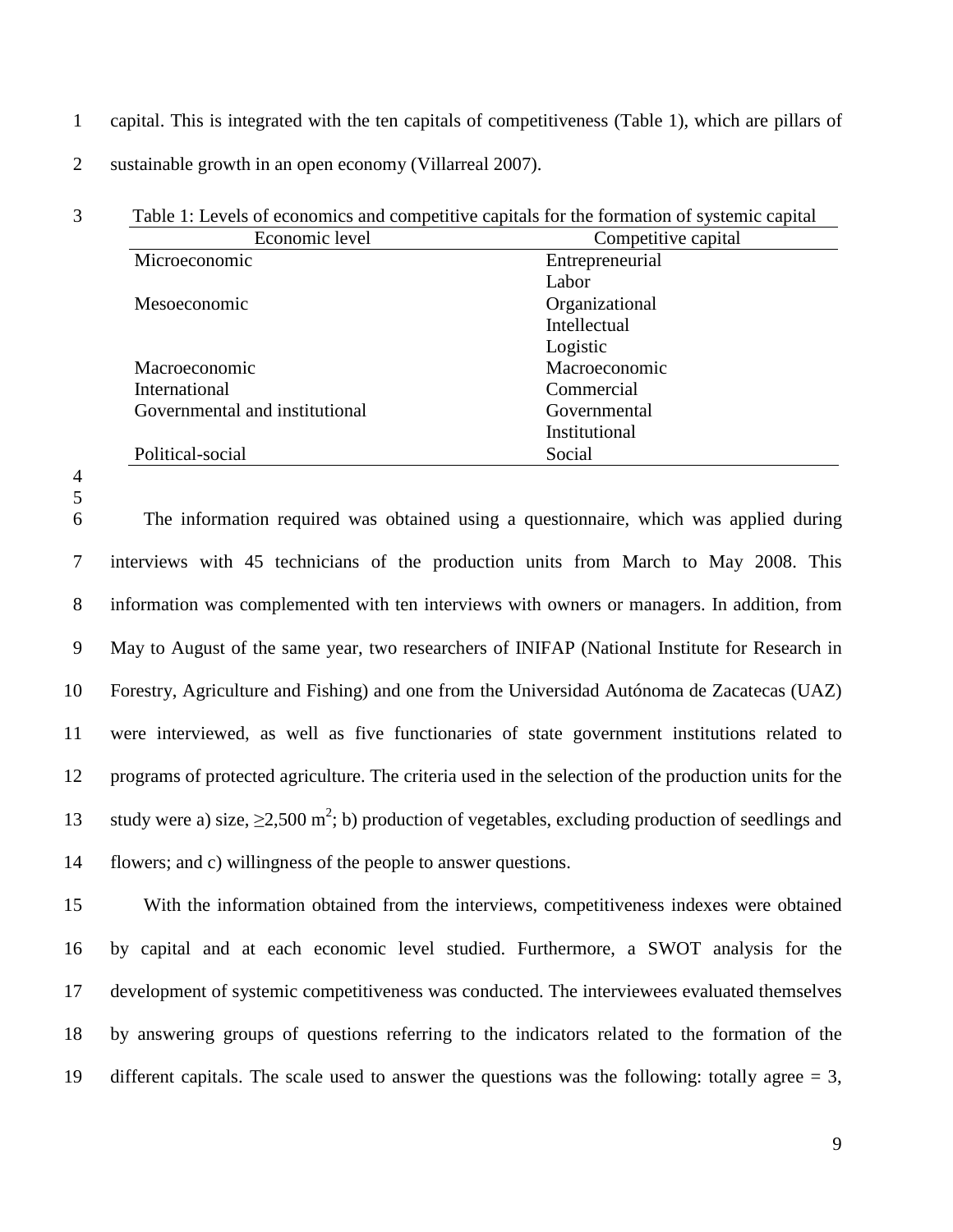- 1 capital. This is integrated with the ten capitals of competitiveness (Table 1), which are pillars of
- 2 sustainable growth in an open economy (Villarreal 2007).

| Economic level                 | Competitive capital |
|--------------------------------|---------------------|
| Microeconomic                  | Entrepreneurial     |
|                                | Labor               |
| Mesoeconomic                   | Organizational      |
|                                | Intellectual        |
|                                | Logistic            |
| Macroeconomic                  | Macroeconomic       |
| International                  | Commercial          |
| Governmental and institutional | Governmental        |
|                                | Institutional       |
| Political-social               | Social              |

4

5

6 The information required was obtained using a questionnaire, which was applied during 7 interviews with 45 technicians of the production units from March to May 2008. This 8 information was complemented with ten interviews with owners or managers. In addition, from 9 May to August of the same year, two researchers of INIFAP (National Institute for Research in 10 Forestry, Agriculture and Fishing) and one from the Universidad Autónoma de Zacatecas (UAZ) 11 were interviewed, as well as five functionaries of state government institutions related to 12 programs of protected agriculture. The criteria used in the selection of the production units for the 13 study were a) size,  $\geq$ 2,500 m<sup>2</sup>; b) production of vegetables, excluding production of seedlings and 14 flowers; and c) willingness of the people to answer questions.

15 With the information obtained from the interviews, competitiveness indexes were obtained 16 by capital and at each economic level studied. Furthermore, a SWOT analysis for the 17 development of systemic competitiveness was conducted. The interviewees evaluated themselves 18 by answering groups of questions referring to the indicators related to the formation of the 19 different capitals. The scale used to answer the questions was the following: totally agree = 3,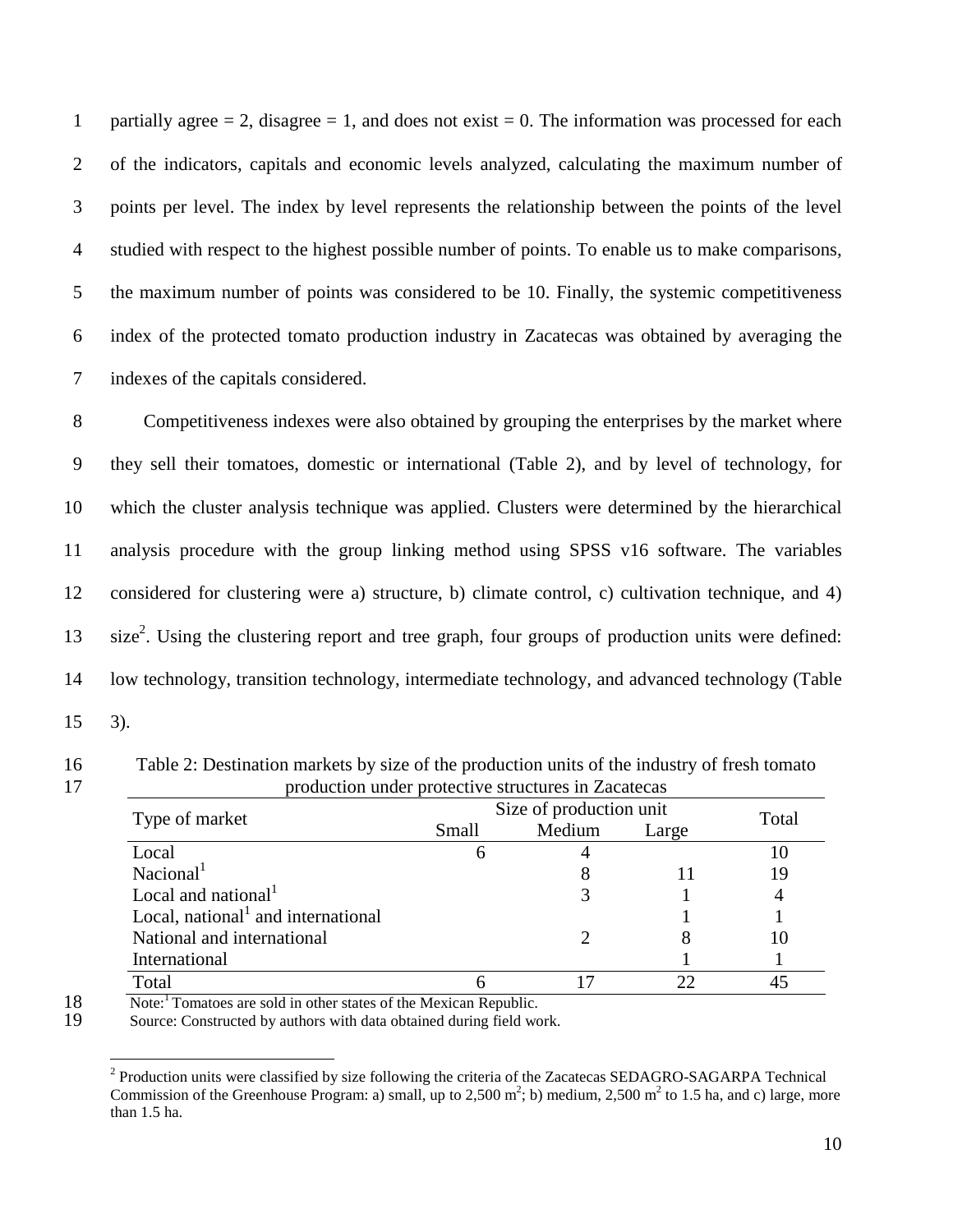1 partially agree  $= 2$ , disagree  $= 1$ , and does not exist  $= 0$ . The information was processed for each 2 of the indicators, capitals and economic levels analyzed, calculating the maximum number of 3 points per level. The index by level represents the relationship between the points of the level 4 studied with respect to the highest possible number of points. To enable us to make comparisons, 5 the maximum number of points was considered to be 10. Finally, the systemic competitiveness 6 index of the protected tomato production industry in Zacatecas was obtained by averaging the 7 indexes of the capitals considered.

8 Competitiveness indexes were also obtained by grouping the enterprises by the market where 9 they sell their tomatoes, domestic or international (Table 2), and by level of technology, for 10 which the cluster analysis technique was applied. Clusters were determined by the hierarchical 11 analysis procedure with the group linking method using SPSS v16 software. The variables 12 considered for clustering were a) structure, b) climate control, c) cultivation technique, and 4) 13 size<sup>2</sup>. Using the clustering report and tree graph, four groups of production units were defined: 14 low technology, transition technology, intermediate technology, and advanced technology (Table 15 3).

16 Table 2: Destination markets by size of the production units of the industry of fresh tomato 17 production under protective structures in Zacatecas

| Type of market                        | Size of production unit | Total  |       |    |
|---------------------------------------|-------------------------|--------|-------|----|
|                                       | Small                   | Medium | Large |    |
| Local                                 |                         |        |       | 10 |
| Nacional <sup>1</sup>                 |                         |        |       | 19 |
| Local and national $1$                |                         |        |       |    |
| Local, national $1$ and international |                         |        |       |    |
| National and international            |                         |        |       | 10 |
| International                         |                         |        |       |    |
| Total                                 |                         |        |       |    |

Note:<sup>1</sup> Tomatoes are sold in other states of the Mexican Republic.<br>19 Source: Constructed by authors with data obtained during field wo Source: Constructed by authors with data obtained during field work.

 $\overline{a}$ <sup>2</sup> Production units were classified by size following the criteria of the Zacatecas SEDAGRO-SAGARPA Technical Commission of the Greenhouse Program: a) small, up to 2,500  $m^2$ ; b) medium, 2,500  $m^2$  to 1.5 ha, and c) large, more than 1.5 ha.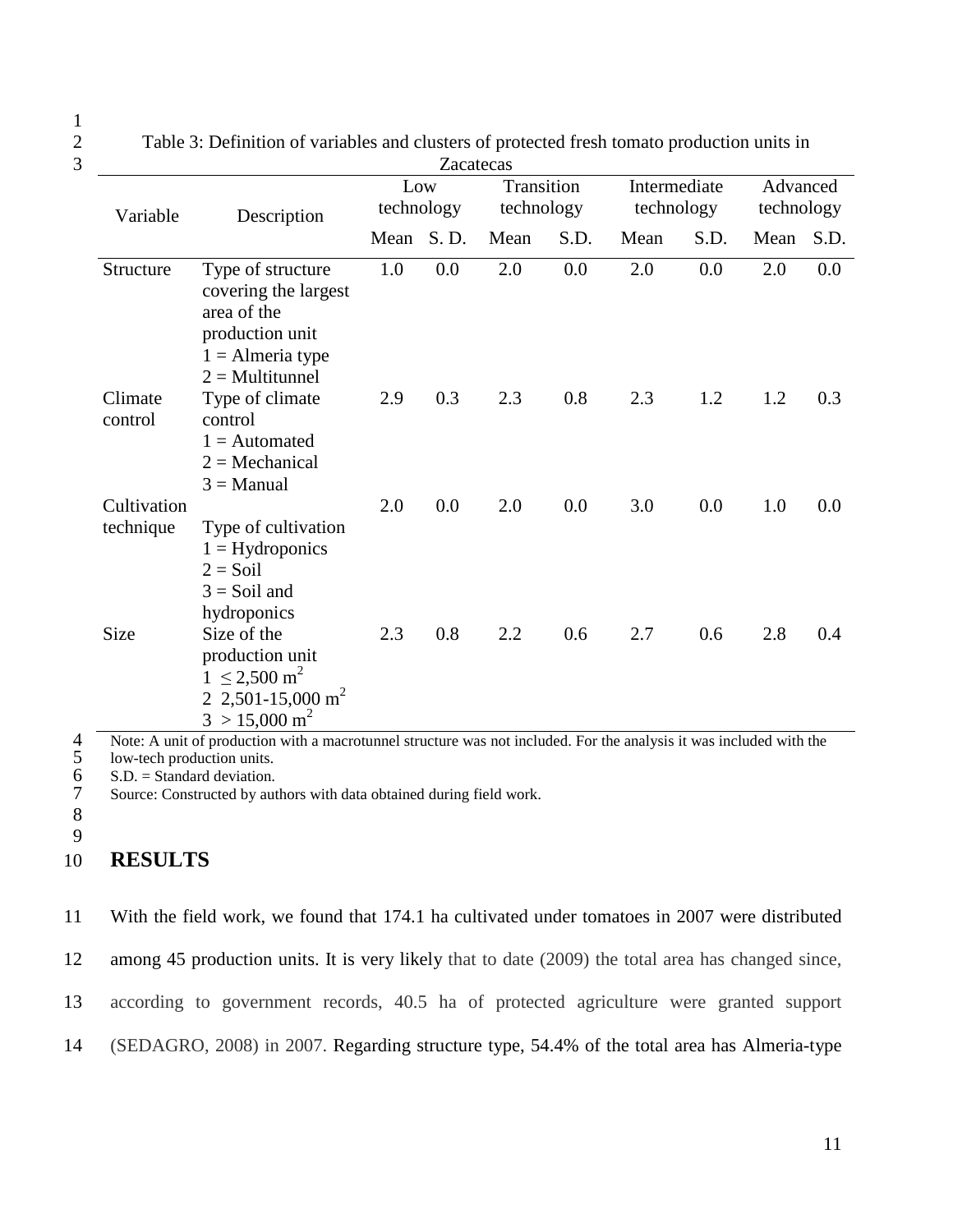1

3 Zacatecas Low technology **Transition** technology Intermediate technology Advanced Variable Description technology technology technology technology Mean S. D. Mean S. D. Mean S. D. Mean S. D. Structure Type of structure covering the largest area of the production unit 1.0 0.0 2.0 0.0 2.0 0.0 2.0 0.0  $1 =$  Almeria type  $2 = Multitunnel$ Climate control Type of climate control 2.9 0.3 2.3 0.8 2.3 1.2 1.2 0.3  $1 =$  Automated  $2 = \text{Mechanical}$  $3$  = Manual **Cultivation** technique Type of cultivation 2.0 0.0 2.0 0.0 3.0 0.0 1.0 0.0  $1 =$  Hydroponics  $2 =$ Soil  $3 =$  Soil and hydroponics Size Size of the production unit 2.3 0.8 2.2 0.6 2.7 0.6 2.8 0.4  $1 \le 2,500 \text{ m}^2$ 2 2,501-15,000 m<sup>2</sup>  $3 > 15,000 \text{ m}^2$ Note: A unit of production with a macrotunnel structure was not included. For the analysis it was included with the<br>
5 Iow-tech production units.<br>
5 S.D. = Standard deviation.<br>
7 Source: Constructed by authors with data ob

2 Table 3: Definition of variables and clusters of protected fresh tomato production units in

low-tech production units.  $S.D. = Standard deviation.$ 

Source: Constructed by authors with data obtained during field work.

8

9

# 10 **RESULTS**

11 With the field work, we found that 174.1 ha cultivated under tomatoes in 2007 were distributed 12 among 45 production units. It is very likely that to date (2009) the total area has changed since, 13 according to government records, 40.5 ha of protected agriculture were granted support 14 (SEDAGRO, 2008) in 2007. Regarding structure type, 54.4% of the total area has Almeria-type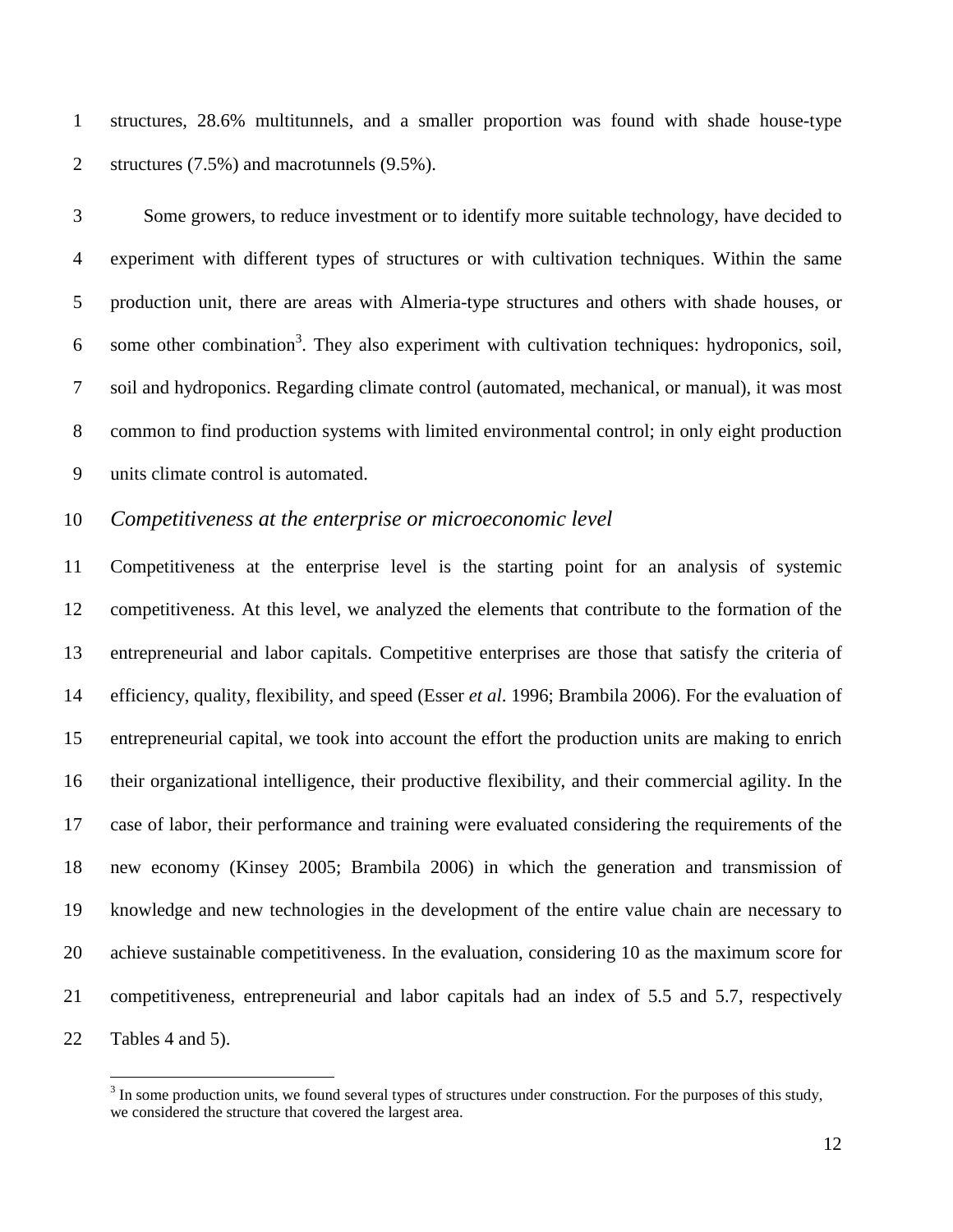1 structures, 28.6% multitunnels, and a smaller proportion was found with shade house-type 2 structures (7.5%) and macrotunnels (9.5%).

3 Some growers, to reduce investment or to identify more suitable technology, have decided to 4 experiment with different types of structures or with cultivation techniques. Within the same 5 production unit, there are areas with Almeria-type structures and others with shade houses, or 6 some other combination<sup>3</sup>. They also experiment with cultivation techniques: hydroponics, soil, 7 soil and hydroponics. Regarding climate control (automated, mechanical, or manual), it was most 8 common to find production systems with limited environmental control; in only eight production 9 units climate control is automated.

## 10 *Competitiveness at the enterprise or microeconomic level*

 $\overline{a}$ 

11 Competitiveness at the enterprise level is the starting point for an analysis of systemic 12 competitiveness. At this level, we analyzed the elements that contribute to the formation of the 13 entrepreneurial and labor capitals. Competitive enterprises are those that satisfy the criteria of 14 efficiency, quality, flexibility, and speed (Esser *et al*. 1996; Brambila 2006). For the evaluation of 15 entrepreneurial capital, we took into account the effort the production units are making to enrich 16 their organizational intelligence, their productive flexibility, and their commercial agility. In the 17 case of labor, their performance and training were evaluated considering the requirements of the 18 new economy (Kinsey 2005; Brambila 2006) in which the generation and transmission of 19 knowledge and new technologies in the development of the entire value chain are necessary to 20 achieve sustainable competitiveness. In the evaluation, considering 10 as the maximum score for 21 competitiveness, entrepreneurial and labor capitals had an index of 5.5 and 5.7, respectively 22 Tables 4 and 5).

 $3 \text{ In some production units, we found several types of structures under construction. For the purposes of this study, }$ we considered the structure that covered the largest area.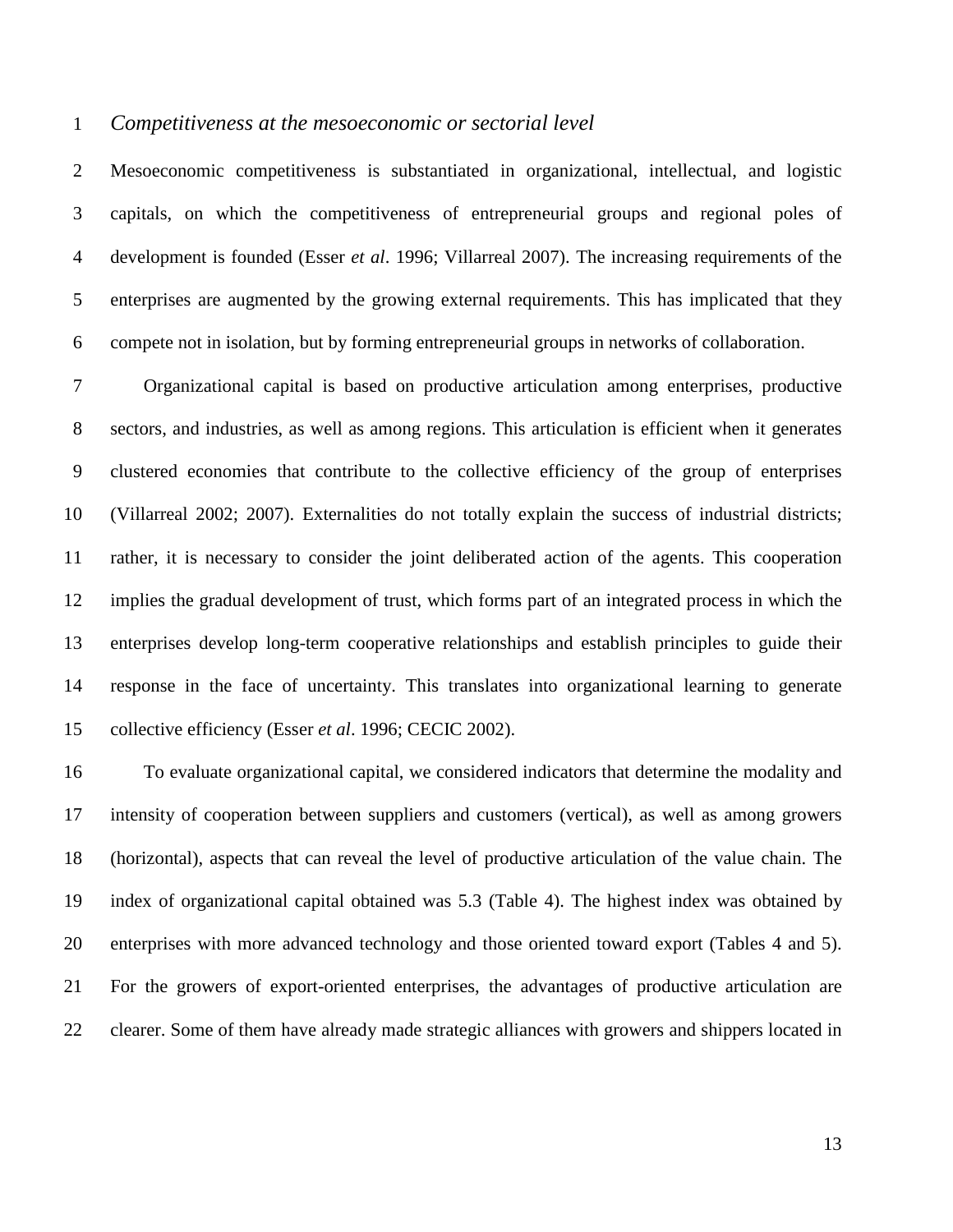#### 1 *Competitiveness at the mesoeconomic or sectorial level*

2 Mesoeconomic competitiveness is substantiated in organizational, intellectual, and logistic 3 capitals, on which the competitiveness of entrepreneurial groups and regional poles of 4 development is founded (Esser *et al*. 1996; Villarreal 2007). The increasing requirements of the 5 enterprises are augmented by the growing external requirements. This has implicated that they 6 compete not in isolation, but by forming entrepreneurial groups in networks of collaboration.

7 Organizational capital is based on productive articulation among enterprises, productive 8 sectors, and industries, as well as among regions. This articulation is efficient when it generates 9 clustered economies that contribute to the collective efficiency of the group of enterprises 10 (Villarreal 2002; 2007). Externalities do not totally explain the success of industrial districts; 11 rather, it is necessary to consider the joint deliberated action of the agents. This cooperation 12 implies the gradual development of trust, which forms part of an integrated process in which the 13 enterprises develop long-term cooperative relationships and establish principles to guide their 14 response in the face of uncertainty. This translates into organizational learning to generate 15 collective efficiency (Esser *et al*. 1996; CECIC 2002).

16 To evaluate organizational capital, we considered indicators that determine the modality and 17 intensity of cooperation between suppliers and customers (vertical), as well as among growers 18 (horizontal), aspects that can reveal the level of productive articulation of the value chain. The 19 index of organizational capital obtained was 5.3 (Table 4). The highest index was obtained by 20 enterprises with more advanced technology and those oriented toward export (Tables 4 and 5). 21 For the growers of export-oriented enterprises, the advantages of productive articulation are 22 clearer. Some of them have already made strategic alliances with growers and shippers located in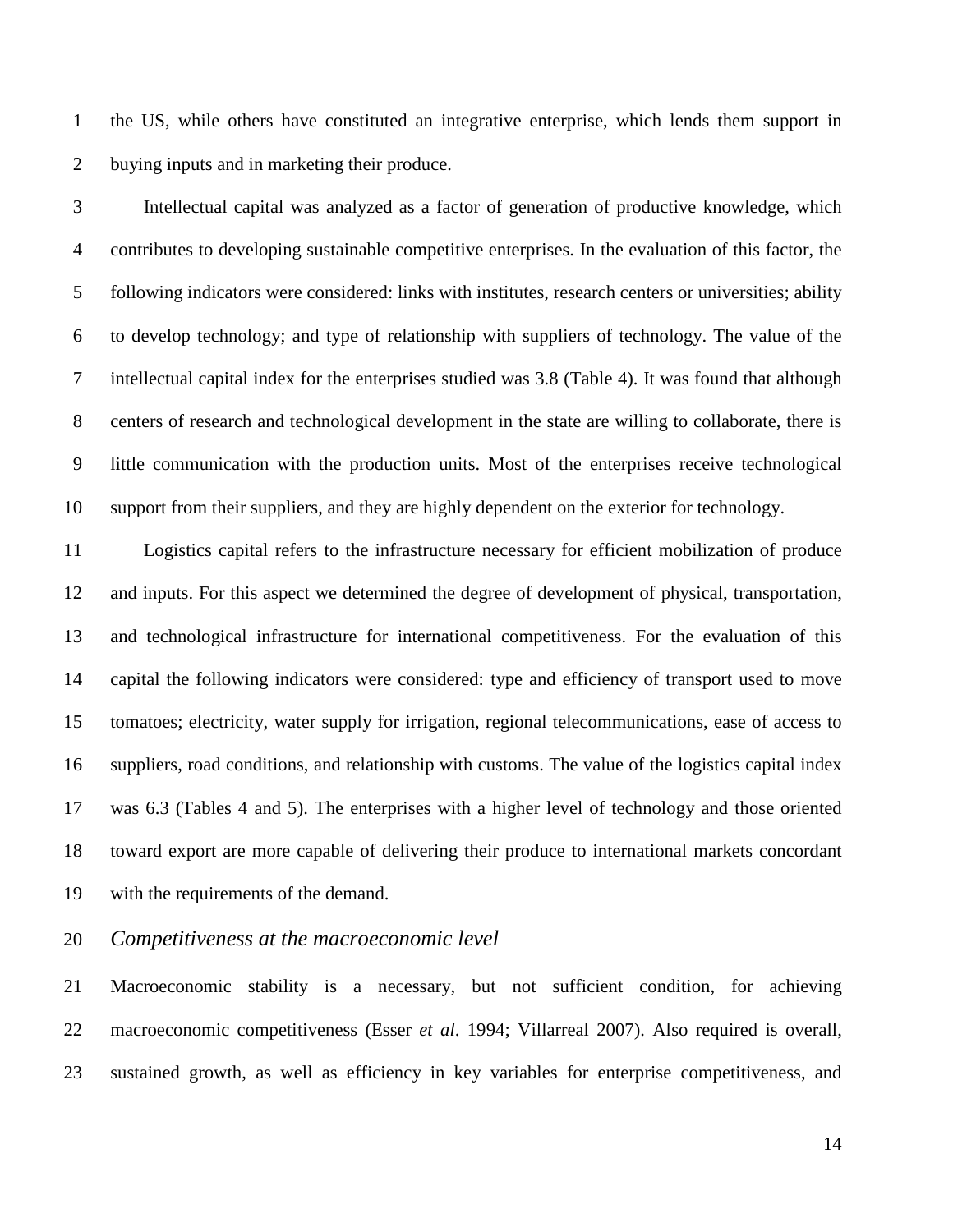1 the US, while others have constituted an integrative enterprise, which lends them support in 2 buying inputs and in marketing their produce.

3 Intellectual capital was analyzed as a factor of generation of productive knowledge, which 4 contributes to developing sustainable competitive enterprises. In the evaluation of this factor, the 5 following indicators were considered: links with institutes, research centers or universities; ability 6 to develop technology; and type of relationship with suppliers of technology. The value of the 7 intellectual capital index for the enterprises studied was 3.8 (Table 4). It was found that although 8 centers of research and technological development in the state are willing to collaborate, there is 9 little communication with the production units. Most of the enterprises receive technological 10 support from their suppliers, and they are highly dependent on the exterior for technology.

11 Logistics capital refers to the infrastructure necessary for efficient mobilization of produce 12 and inputs. For this aspect we determined the degree of development of physical, transportation, 13 and technological infrastructure for international competitiveness. For the evaluation of this 14 capital the following indicators were considered: type and efficiency of transport used to move 15 tomatoes; electricity, water supply for irrigation, regional telecommunications, ease of access to 16 suppliers, road conditions, and relationship with customs. The value of the logistics capital index 17 was 6.3 (Tables 4 and 5). The enterprises with a higher level of technology and those oriented 18 toward export are more capable of delivering their produce to international markets concordant 19 with the requirements of the demand.

20 *Competitiveness at the macroeconomic level* 

21 Macroeconomic stability is a necessary, but not sufficient condition, for achieving 22 macroeconomic competitiveness (Esser *et al*. 1994; Villarreal 2007). Also required is overall, 23 sustained growth, as well as efficiency in key variables for enterprise competitiveness, and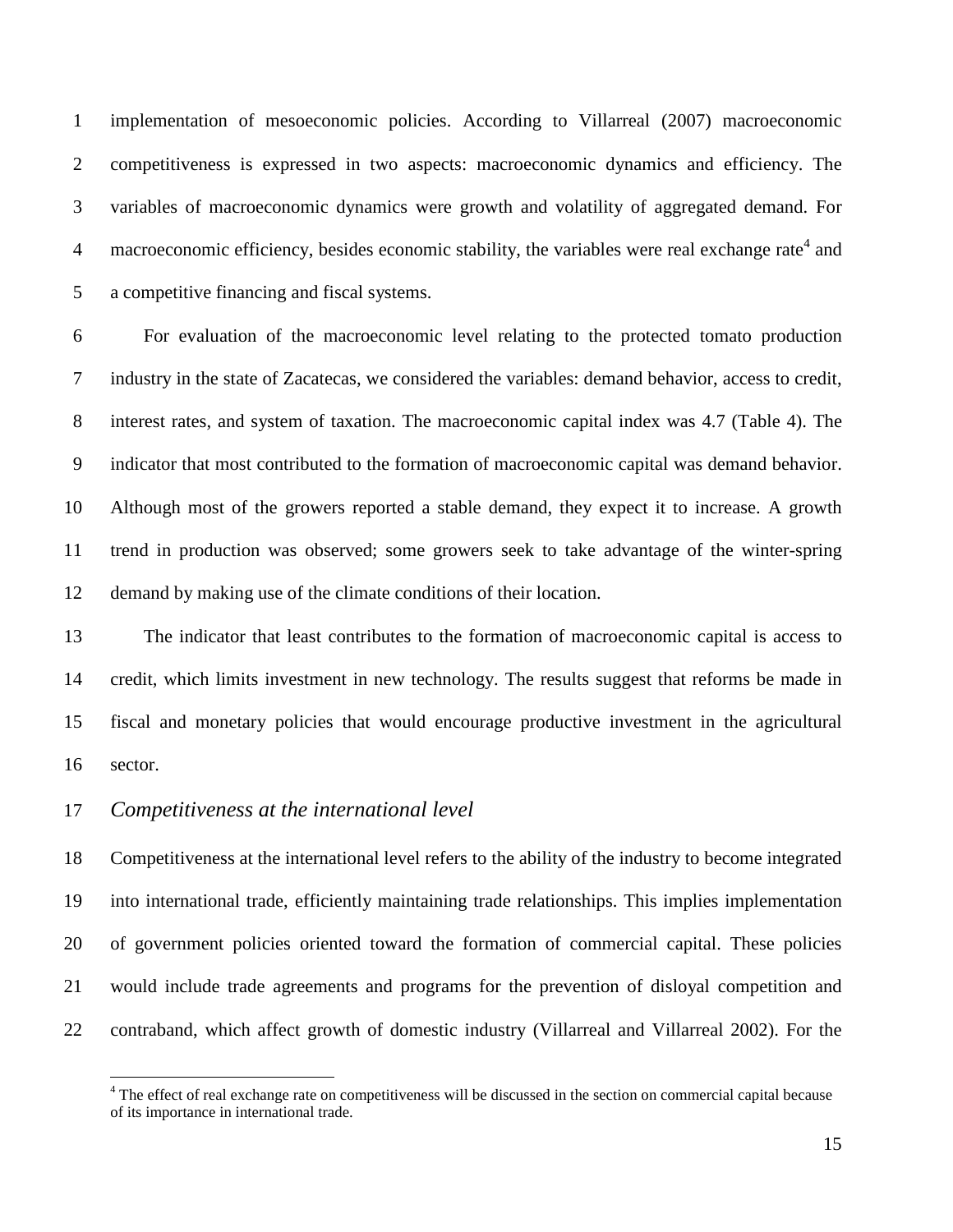1 implementation of mesoeconomic policies. According to Villarreal (2007) macroeconomic 2 competitiveness is expressed in two aspects: macroeconomic dynamics and efficiency. The 3 variables of macroeconomic dynamics were growth and volatility of aggregated demand. For 4 macroeconomic efficiency, besides economic stability, the variables were real exchange rate<sup>4</sup> and 5 a competitive financing and fiscal systems.

6 For evaluation of the macroeconomic level relating to the protected tomato production 7 industry in the state of Zacatecas, we considered the variables: demand behavior, access to credit, 8 interest rates, and system of taxation. The macroeconomic capital index was 4.7 (Table 4). The 9 indicator that most contributed to the formation of macroeconomic capital was demand behavior. 10 Although most of the growers reported a stable demand, they expect it to increase. A growth 11 trend in production was observed; some growers seek to take advantage of the winter-spring 12 demand by making use of the climate conditions of their location.

13 The indicator that least contributes to the formation of macroeconomic capital is access to 14 credit, which limits investment in new technology. The results suggest that reforms be made in 15 fiscal and monetary policies that would encourage productive investment in the agricultural 16 sector.

### 17 *Competitiveness at the international level*

 $\overline{a}$ 

18 Competitiveness at the international level refers to the ability of the industry to become integrated 19 into international trade, efficiently maintaining trade relationships. This implies implementation 20 of government policies oriented toward the formation of commercial capital. These policies 21 would include trade agreements and programs for the prevention of disloyal competition and 22 contraband, which affect growth of domestic industry (Villarreal and Villarreal 2002). For the

<sup>&</sup>lt;sup>4</sup> The effect of real exchange rate on competitiveness will be discussed in the section on commercial capital because of its importance in international trade.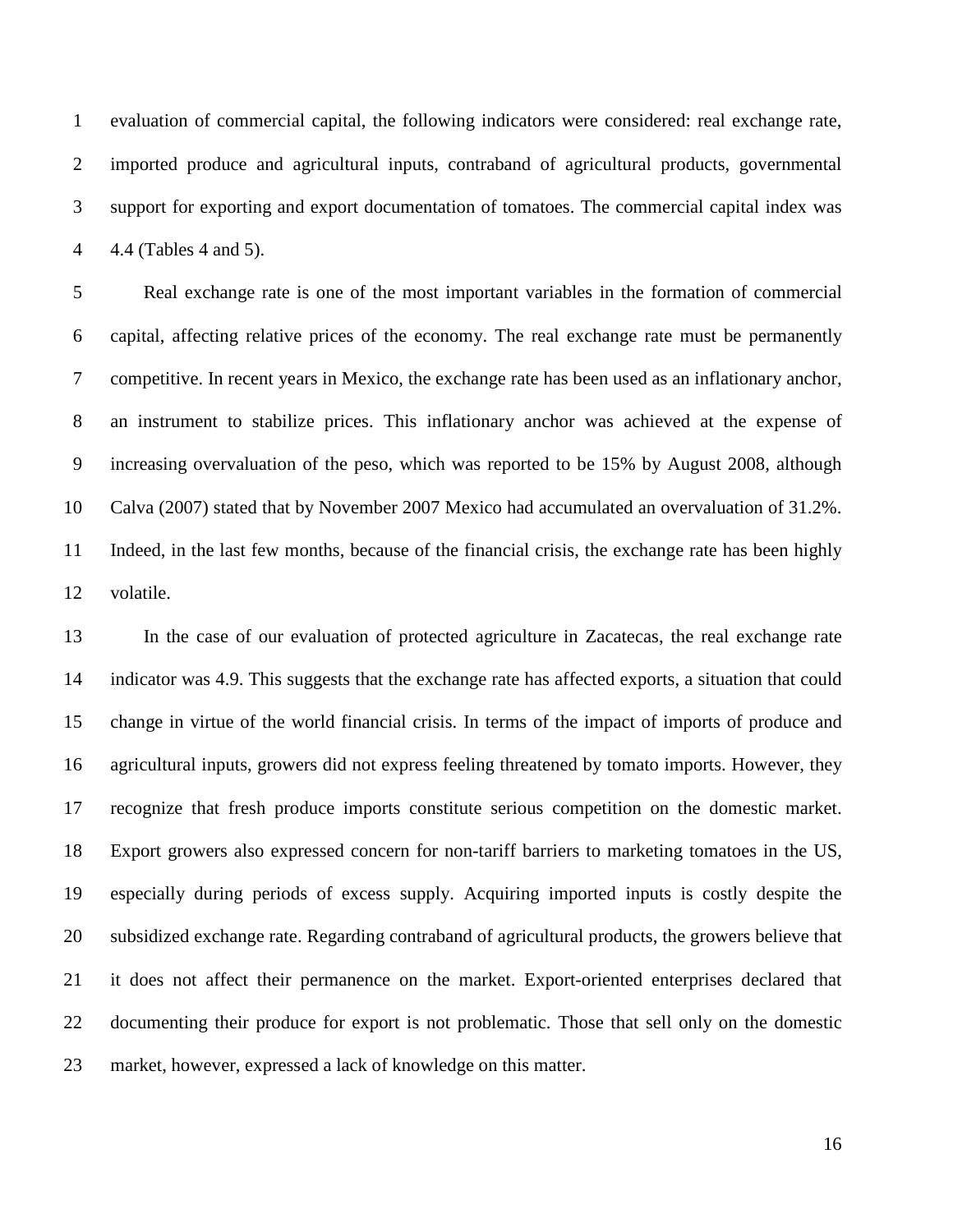1 evaluation of commercial capital, the following indicators were considered: real exchange rate, 2 imported produce and agricultural inputs, contraband of agricultural products, governmental 3 support for exporting and export documentation of tomatoes. The commercial capital index was 4 4.4 (Tables 4 and 5).

5 Real exchange rate is one of the most important variables in the formation of commercial 6 capital, affecting relative prices of the economy. The real exchange rate must be permanently 7 competitive. In recent years in Mexico, the exchange rate has been used as an inflationary anchor, 8 an instrument to stabilize prices. This inflationary anchor was achieved at the expense of 9 increasing overvaluation of the peso, which was reported to be 15% by August 2008, although 10 Calva (2007) stated that by November 2007 Mexico had accumulated an overvaluation of 31.2%. 11 Indeed, in the last few months, because of the financial crisis, the exchange rate has been highly 12 volatile.

13 In the case of our evaluation of protected agriculture in Zacatecas, the real exchange rate 14 indicator was 4.9. This suggests that the exchange rate has affected exports, a situation that could 15 change in virtue of the world financial crisis. In terms of the impact of imports of produce and 16 agricultural inputs, growers did not express feeling threatened by tomato imports. However, they 17 recognize that fresh produce imports constitute serious competition on the domestic market. 18 Export growers also expressed concern for non-tariff barriers to marketing tomatoes in the US, 19 especially during periods of excess supply. Acquiring imported inputs is costly despite the 20 subsidized exchange rate. Regarding contraband of agricultural products, the growers believe that 21 it does not affect their permanence on the market. Export-oriented enterprises declared that 22 documenting their produce for export is not problematic. Those that sell only on the domestic 23 market, however, expressed a lack of knowledge on this matter.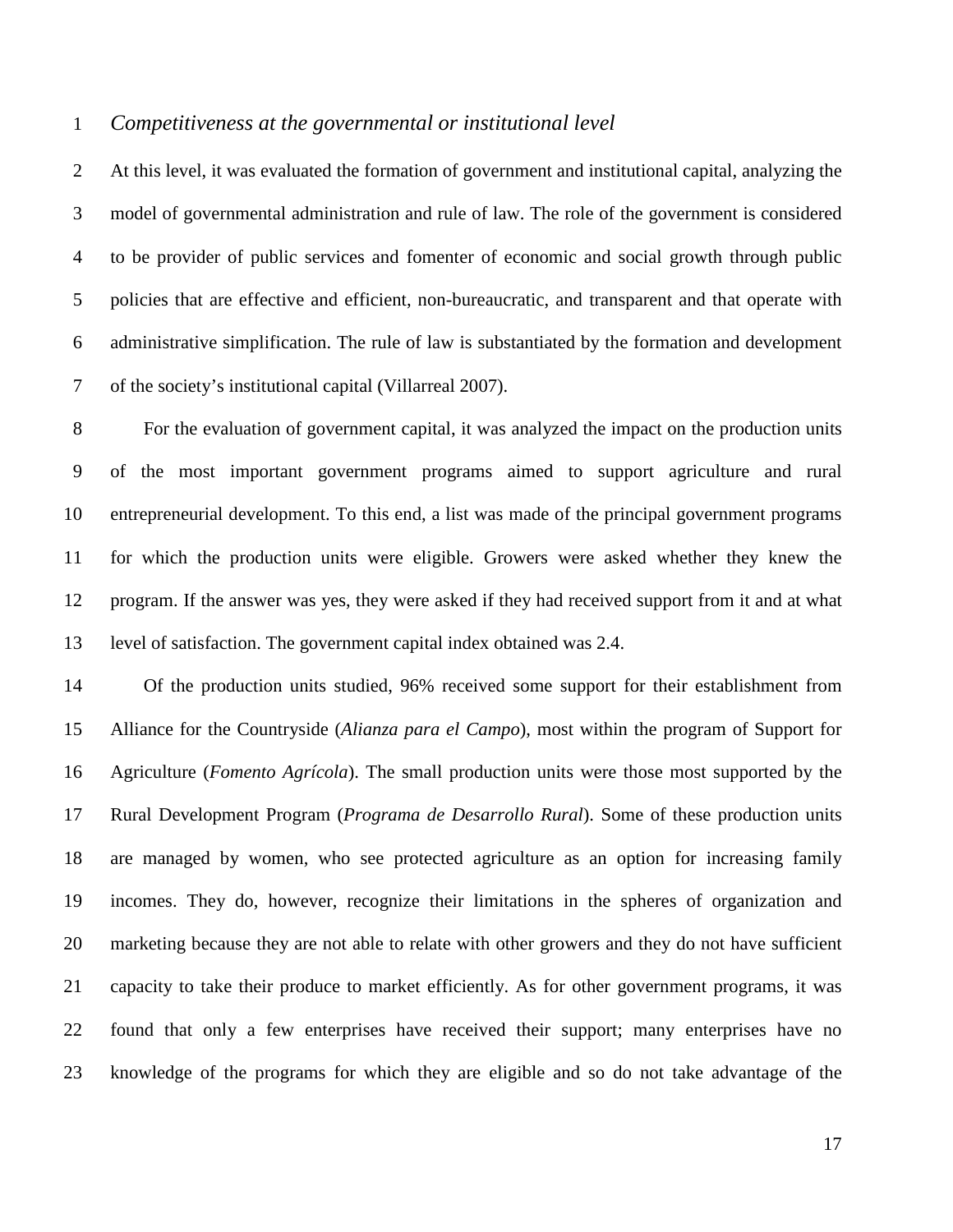#### 1 *Competitiveness at the governmental or institutional level*

2 At this level, it was evaluated the formation of government and institutional capital, analyzing the 3 model of governmental administration and rule of law. The role of the government is considered 4 to be provider of public services and fomenter of economic and social growth through public 5 policies that are effective and efficient, non-bureaucratic, and transparent and that operate with 6 administrative simplification. The rule of law is substantiated by the formation and development 7 of the society's institutional capital (Villarreal 2007).

8 For the evaluation of government capital, it was analyzed the impact on the production units 9 of the most important government programs aimed to support agriculture and rural 10 entrepreneurial development. To this end, a list was made of the principal government programs 11 for which the production units were eligible. Growers were asked whether they knew the 12 program. If the answer was yes, they were asked if they had received support from it and at what 13 level of satisfaction. The government capital index obtained was 2.4.

14 Of the production units studied, 96% received some support for their establishment from 15 Alliance for the Countryside (*Alianza para el Campo*), most within the program of Support for 16 Agriculture (*Fomento Agrícola*). The small production units were those most supported by the 17 Rural Development Program (*Programa de Desarrollo Rural*). Some of these production units 18 are managed by women, who see protected agriculture as an option for increasing family 19 incomes. They do, however, recognize their limitations in the spheres of organization and 20 marketing because they are not able to relate with other growers and they do not have sufficient 21 capacity to take their produce to market efficiently. As for other government programs, it was 22 found that only a few enterprises have received their support; many enterprises have no 23 knowledge of the programs for which they are eligible and so do not take advantage of the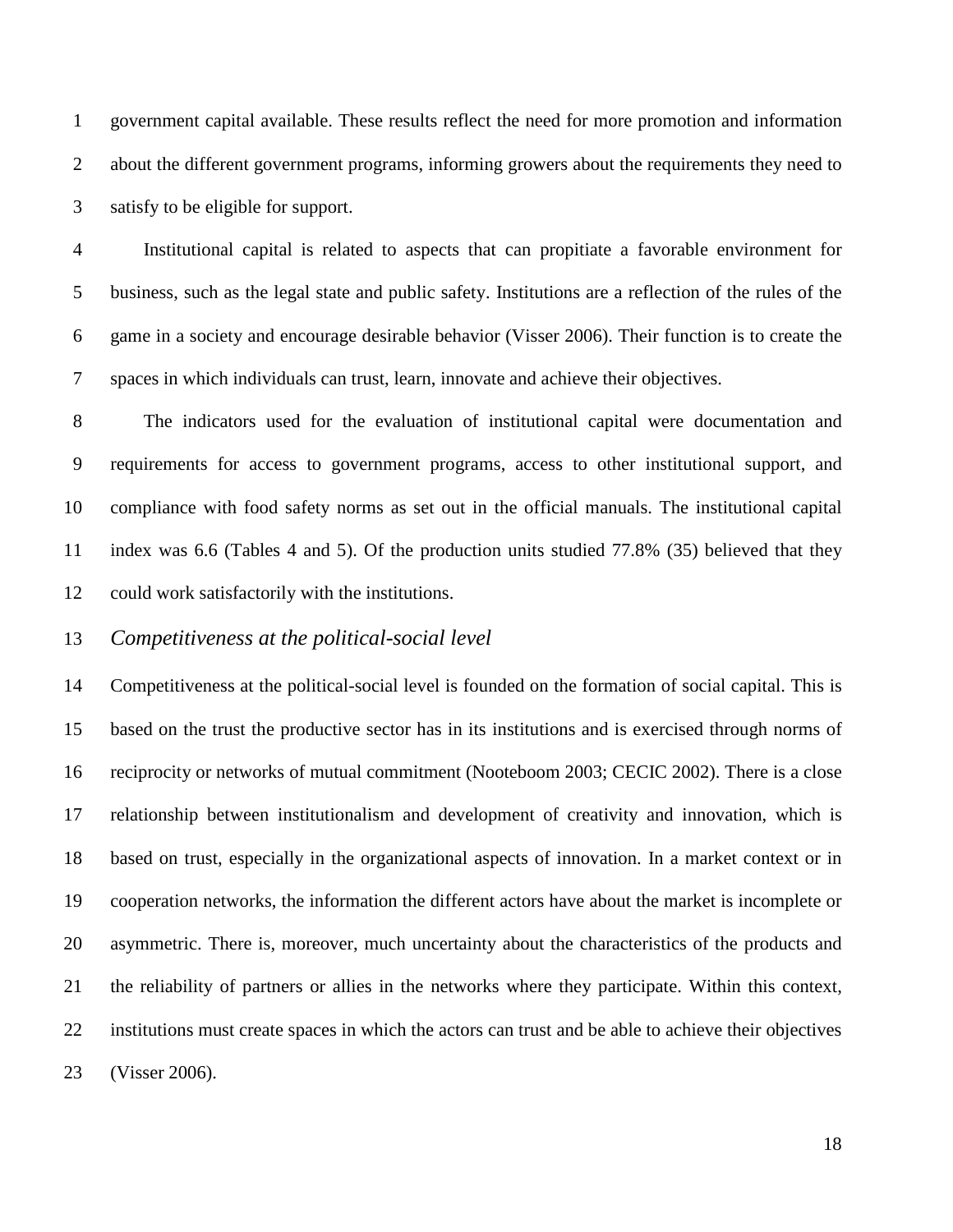1 government capital available. These results reflect the need for more promotion and information 2 about the different government programs, informing growers about the requirements they need to 3 satisfy to be eligible for support.

4 Institutional capital is related to aspects that can propitiate a favorable environment for 5 business, such as the legal state and public safety. Institutions are a reflection of the rules of the 6 game in a society and encourage desirable behavior (Visser 2006). Their function is to create the 7 spaces in which individuals can trust, learn, innovate and achieve their objectives.

8 The indicators used for the evaluation of institutional capital were documentation and 9 requirements for access to government programs, access to other institutional support, and 10 compliance with food safety norms as set out in the official manuals. The institutional capital 11 index was 6.6 (Tables 4 and 5). Of the production units studied 77.8% (35) believed that they 12 could work satisfactorily with the institutions.

### 13 *Competitiveness at the political-social level*

14 Competitiveness at the political-social level is founded on the formation of social capital. This is 15 based on the trust the productive sector has in its institutions and is exercised through norms of 16 reciprocity or networks of mutual commitment (Nooteboom 2003; CECIC 2002). There is a close 17 relationship between institutionalism and development of creativity and innovation, which is 18 based on trust, especially in the organizational aspects of innovation. In a market context or in 19 cooperation networks, the information the different actors have about the market is incomplete or 20 asymmetric. There is, moreover, much uncertainty about the characteristics of the products and 21 the reliability of partners or allies in the networks where they participate. Within this context, 22 institutions must create spaces in which the actors can trust and be able to achieve their objectives 23 (Visser 2006).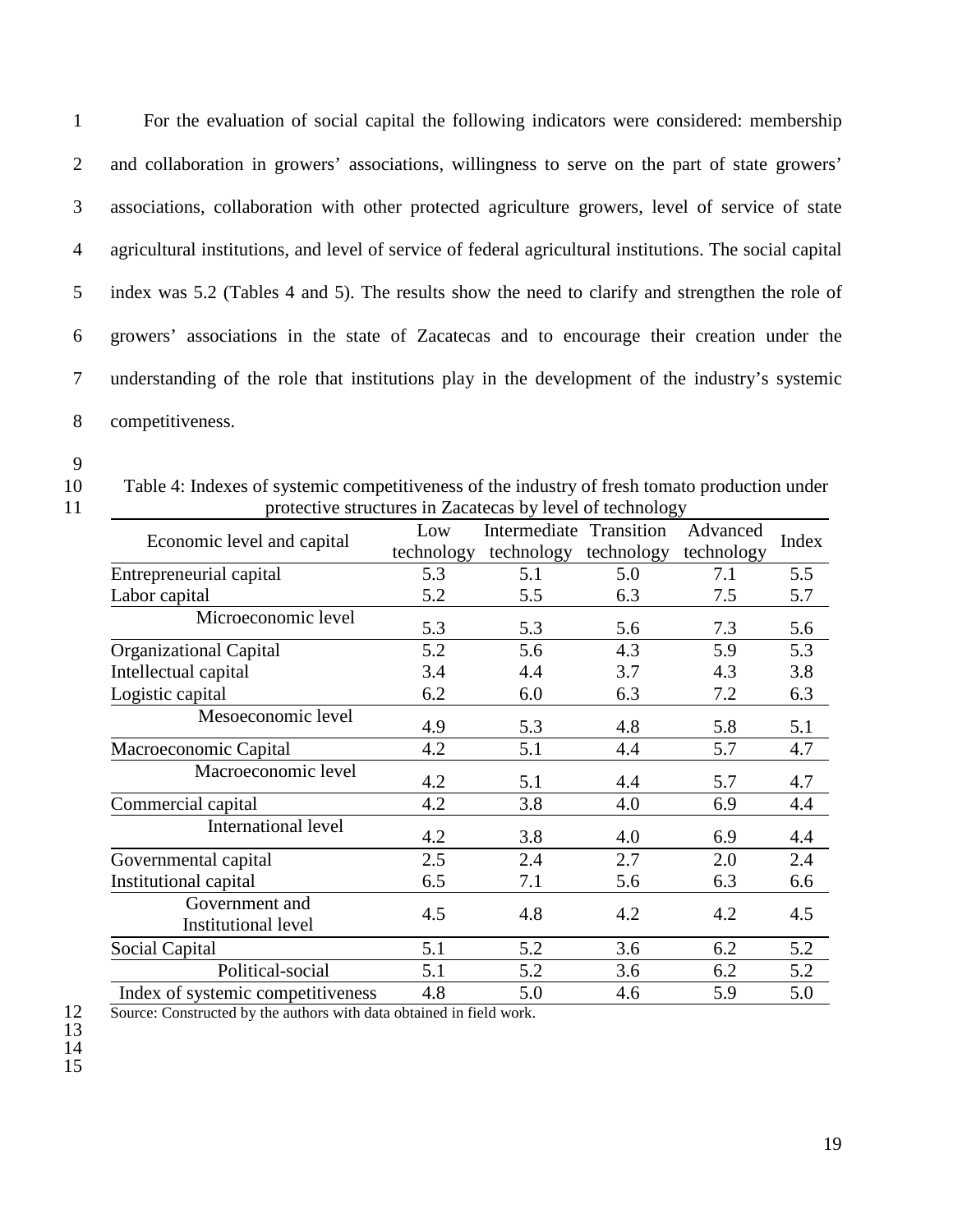1 For the evaluation of social capital the following indicators were considered: membership 2 and collaboration in growers' associations, willingness to serve on the part of state growers' 3 associations, collaboration with other protected agriculture growers, level of service of state 4 agricultural institutions, and level of service of federal agricultural institutions. The social capital 5 index was 5.2 (Tables 4 and 5). The results show the need to clarify and strengthen the role of 6 growers' associations in the state of Zacatecas and to encourage their creation under the 7 understanding of the role that institutions play in the development of the industry's systemic 8 competitiveness.

- 9
- 

10 Table 4: Indexes of systemic competitiveness of the industry of fresh tomato production under 11 protective structures in Zacatecas by level of technology

|                                              | Low        | Intermediate | Transition | Advanced   | Index |
|----------------------------------------------|------------|--------------|------------|------------|-------|
| Economic level and capital                   | technology | technology   | technology | technology |       |
| Entrepreneurial capital                      | 5.3        | 5.1          | 5.0        | 7.1        | 5.5   |
| Labor capital                                | 5.2        | 5.5          | 6.3        | 7.5        | 5.7   |
| Microeconomic level                          | 5.3        | 5.3          | 5.6        | 7.3        | 5.6   |
| <b>Organizational Capital</b>                | 5.2        | 5.6          | 4.3        | 5.9        | 5.3   |
| Intellectual capital                         | 3.4        | 4.4          | 3.7        | 4.3        | 3.8   |
| Logistic capital                             | 6.2        | 6.0          | 6.3        | 7.2        | 6.3   |
| Mesoeconomic level                           | 4.9        | 5.3          | 4.8        | 5.8        | 5.1   |
| Macroeconomic Capital                        | 4.2        | 5.1          | 4.4        | 5.7        | 4.7   |
| Macroeconomic level                          | 4.2        | 5.1          | 4.4        | 5.7        | 4.7   |
| Commercial capital                           | 4.2        | 3.8          | 4.0        | 6.9        | 4.4   |
| International level                          | 4.2        | 3.8          | 4.0        | 6.9        | 4.4   |
| Governmental capital                         | 2.5        | 2.4          | 2.7        | 2.0        | 2.4   |
| Institutional capital                        | 6.5        | 7.1          | 5.6        | 6.3        | 6.6   |
| Government and<br><b>Institutional level</b> | 4.5        | 4.8          | 4.2        | 4.2        | 4.5   |
| Social Capital                               | 5.1        | 5.2          | 3.6        | 6.2        | 5.2   |
| Political-social                             | 5.1        | 5.2          | 3.6        | 6.2        | 5.2   |
| Index of systemic competitiveness            | 4.8        | 5.0          | 4.6        | 5.9        | 5.0   |
|                                              |            |              |            |            |       |

12 Source: Constructed by the authors with data obtained in field work.

13 14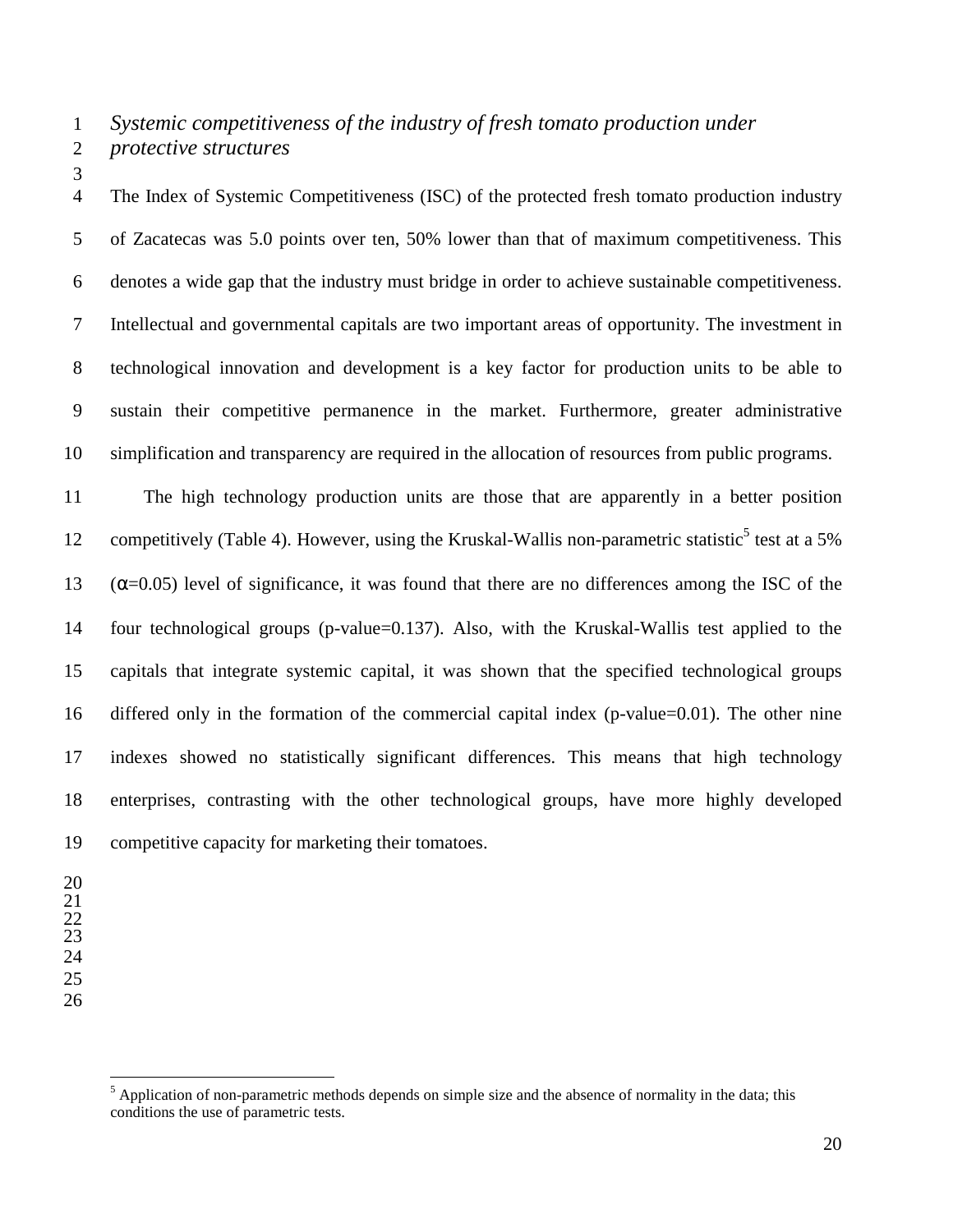1 *Systemic competitiveness of the industry of fresh tomato production under* 

3

2 *protective structures* 

4 The Index of Systemic Competitiveness (ISC) of the protected fresh tomato production industry 5 of Zacatecas was 5.0 points over ten, 50% lower than that of maximum competitiveness. This 6 denotes a wide gap that the industry must bridge in order to achieve sustainable competitiveness. 7 Intellectual and governmental capitals are two important areas of opportunity. The investment in 8 technological innovation and development is a key factor for production units to be able to 9 sustain their competitive permanence in the market. Furthermore, greater administrative 10 simplification and transparency are required in the allocation of resources from public programs.

11 The high technology production units are those that are apparently in a better position 12 competitively (Table 4). However, using the Kruskal-Wallis non-parametric statistic<sup>5</sup> test at a 5%  $13$  (α=0.05) level of significance, it was found that there are no differences among the ISC of the 14 four technological groups (p-value=0.137). Also, with the Kruskal-Wallis test applied to the 15 capitals that integrate systemic capital, it was shown that the specified technological groups 16 differed only in the formation of the commercial capital index (p-value=0.01). The other nine 17 indexes showed no statistically significant differences. This means that high technology 18 enterprises, contrasting with the other technological groups, have more highly developed 19 competitive capacity for marketing their tomatoes.

- 20 21 22
- 23
- 24 25
- 26

 $\overline{a}$ 

<sup>&</sup>lt;sup>5</sup> Application of non-parametric methods depends on simple size and the absence of normality in the data; this conditions the use of parametric tests.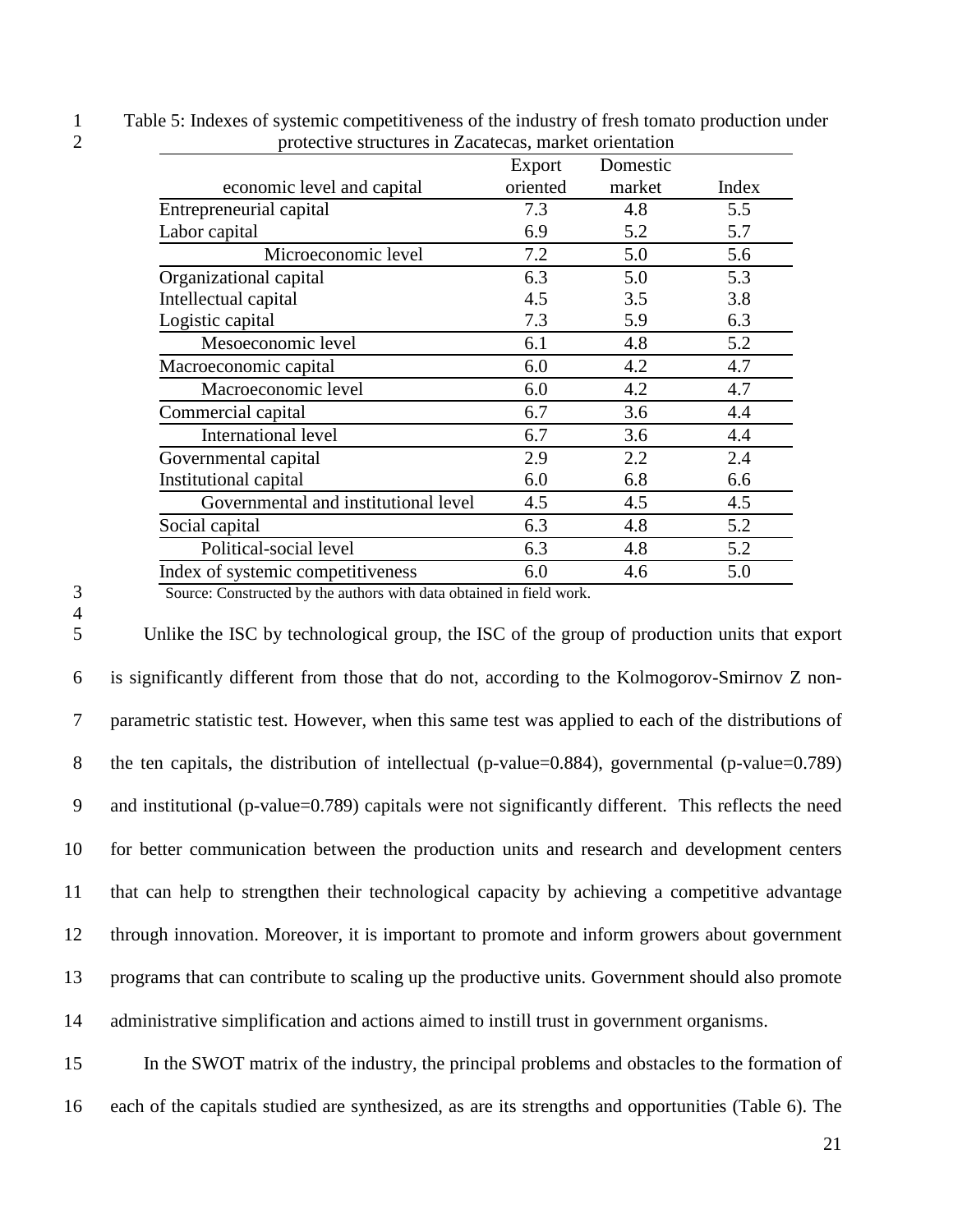| protective structures in Zacatecas, market orientation |          |       |  |  |
|--------------------------------------------------------|----------|-------|--|--|
| Export                                                 | Domestic |       |  |  |
| oriented                                               | market   | Index |  |  |
| 7.3                                                    | 4.8      | 5.5   |  |  |
| 6.9                                                    | 5.2      | 5.7   |  |  |
| 7.2                                                    | 5.0      | 5.6   |  |  |
| 6.3                                                    | 5.0      | 5.3   |  |  |
| 4.5                                                    | 3.5      | 3.8   |  |  |
| 7.3                                                    | 5.9      | 6.3   |  |  |
| 6.1                                                    | 4.8      | 5.2   |  |  |
| 6.0                                                    | 4.2      | 4.7   |  |  |
| 6.0                                                    | 4.2      | 4.7   |  |  |
| 6.7                                                    | 3.6      | 4.4   |  |  |
| 6.7                                                    | 3.6      | 4.4   |  |  |
| 2.9                                                    | 2.2      | 2.4   |  |  |
| 6.0                                                    | 6.8      | 6.6   |  |  |
| 4.5                                                    | 4.5      | 4.5   |  |  |
| 6.3                                                    | 4.8      | 5.2   |  |  |
| 6.3                                                    | 4.8      | 5.2   |  |  |
| 6.0                                                    | 4.6      | 5.0   |  |  |
|                                                        |          |       |  |  |

1 Table 5: Indexes of systemic competitiveness of the industry of fresh tomato production under 2 protective structures in Zacatecas, market orientation

4

3 Source: Constructed by the authors with data obtained in field work.

5 Unlike the ISC by technological group, the ISC of the group of production units that export 6 is significantly different from those that do not, according to the Kolmogorov-Smirnov Z non-7 parametric statistic test. However, when this same test was applied to each of the distributions of 8 the ten capitals, the distribution of intellectual (p-value=0.884), governmental (p-value=0.789) 9 and institutional (p-value=0.789) capitals were not significantly different. This reflects the need 10 for better communication between the production units and research and development centers 11 that can help to strengthen their technological capacity by achieving a competitive advantage 12 through innovation. Moreover, it is important to promote and inform growers about government 13 programs that can contribute to scaling up the productive units. Government should also promote 14 administrative simplification and actions aimed to instill trust in government organisms.

15 In the SWOT matrix of the industry, the principal problems and obstacles to the formation of 16 each of the capitals studied are synthesized, as are its strengths and opportunities (Table 6). The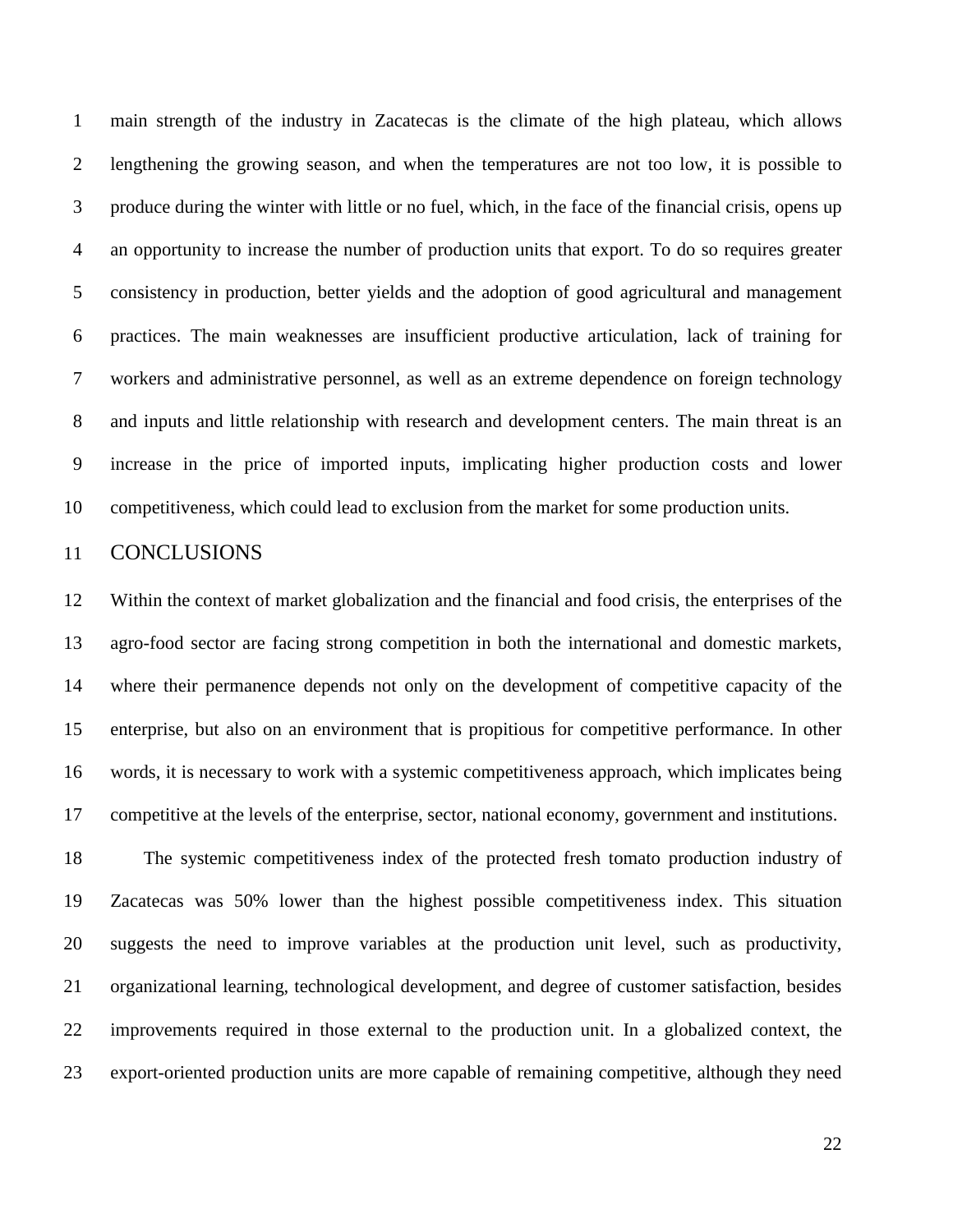1 main strength of the industry in Zacatecas is the climate of the high plateau, which allows 2 lengthening the growing season, and when the temperatures are not too low, it is possible to 3 produce during the winter with little or no fuel, which, in the face of the financial crisis, opens up 4 an opportunity to increase the number of production units that export. To do so requires greater 5 consistency in production, better yields and the adoption of good agricultural and management 6 practices. The main weaknesses are insufficient productive articulation, lack of training for 7 workers and administrative personnel, as well as an extreme dependence on foreign technology 8 and inputs and little relationship with research and development centers. The main threat is an 9 increase in the price of imported inputs, implicating higher production costs and lower 10 competitiveness, which could lead to exclusion from the market for some production units.

## 11 CONCLUSIONS

12 Within the context of market globalization and the financial and food crisis, the enterprises of the 13 agro-food sector are facing strong competition in both the international and domestic markets, 14 where their permanence depends not only on the development of competitive capacity of the 15 enterprise, but also on an environment that is propitious for competitive performance. In other 16 words, it is necessary to work with a systemic competitiveness approach, which implicates being 17 competitive at the levels of the enterprise, sector, national economy, government and institutions. 18 The systemic competitiveness index of the protected fresh tomato production industry of 19 Zacatecas was 50% lower than the highest possible competitiveness index. This situation 20 suggests the need to improve variables at the production unit level, such as productivity, 21 organizational learning, technological development, and degree of customer satisfaction, besides 22 improvements required in those external to the production unit. In a globalized context, the 23 export-oriented production units are more capable of remaining competitive, although they need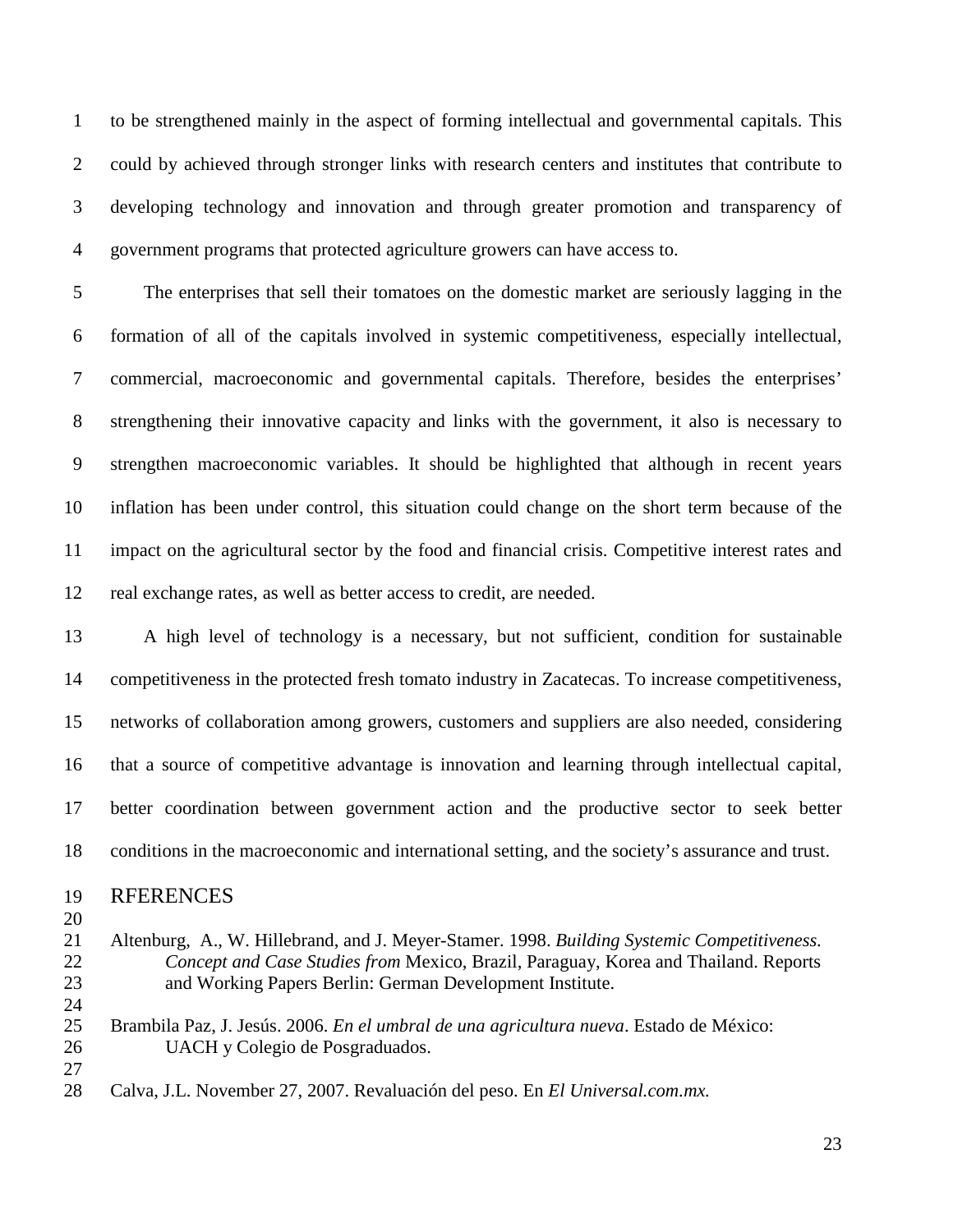1 to be strengthened mainly in the aspect of forming intellectual and governmental capitals. This 2 could by achieved through stronger links with research centers and institutes that contribute to 3 developing technology and innovation and through greater promotion and transparency of 4 government programs that protected agriculture growers can have access to.

5 The enterprises that sell their tomatoes on the domestic market are seriously lagging in the 6 formation of all of the capitals involved in systemic competitiveness, especially intellectual, 7 commercial, macroeconomic and governmental capitals. Therefore, besides the enterprises' 8 strengthening their innovative capacity and links with the government, it also is necessary to 9 strengthen macroeconomic variables. It should be highlighted that although in recent years 10 inflation has been under control, this situation could change on the short term because of the 11 impact on the agricultural sector by the food and financial crisis. Competitive interest rates and 12 real exchange rates, as well as better access to credit, are needed.

13 A high level of technology is a necessary, but not sufficient, condition for sustainable 14 competitiveness in the protected fresh tomato industry in Zacatecas. To increase competitiveness, 15 networks of collaboration among growers, customers and suppliers are also needed, considering 16 that a source of competitive advantage is innovation and learning through intellectual capital, 17 better coordination between government action and the productive sector to seek better 18 conditions in the macroeconomic and international setting, and the society's assurance and trust.

#### 19 RFERENCES

- 20
- 21 Altenburg, A., W. Hillebrand, and J. Meyer-Stamer. 1998. *Building Systemic Competitiveness.*  22 *Concept and Case Studies from* Mexico, Brazil, Paraguay, Korea and Thailand. Reports 23 and Working Papers Berlin: German Development Institute.
- 24

25 Brambila Paz, J. Jesús. 2006. *En el umbral de una agricultura nueva*. Estado de México: 26 UACH y Colegio de Posgraduados. 27

28 Calva, J.L. November 27, 2007. Revaluación del peso. En *El Universal.com.mx.*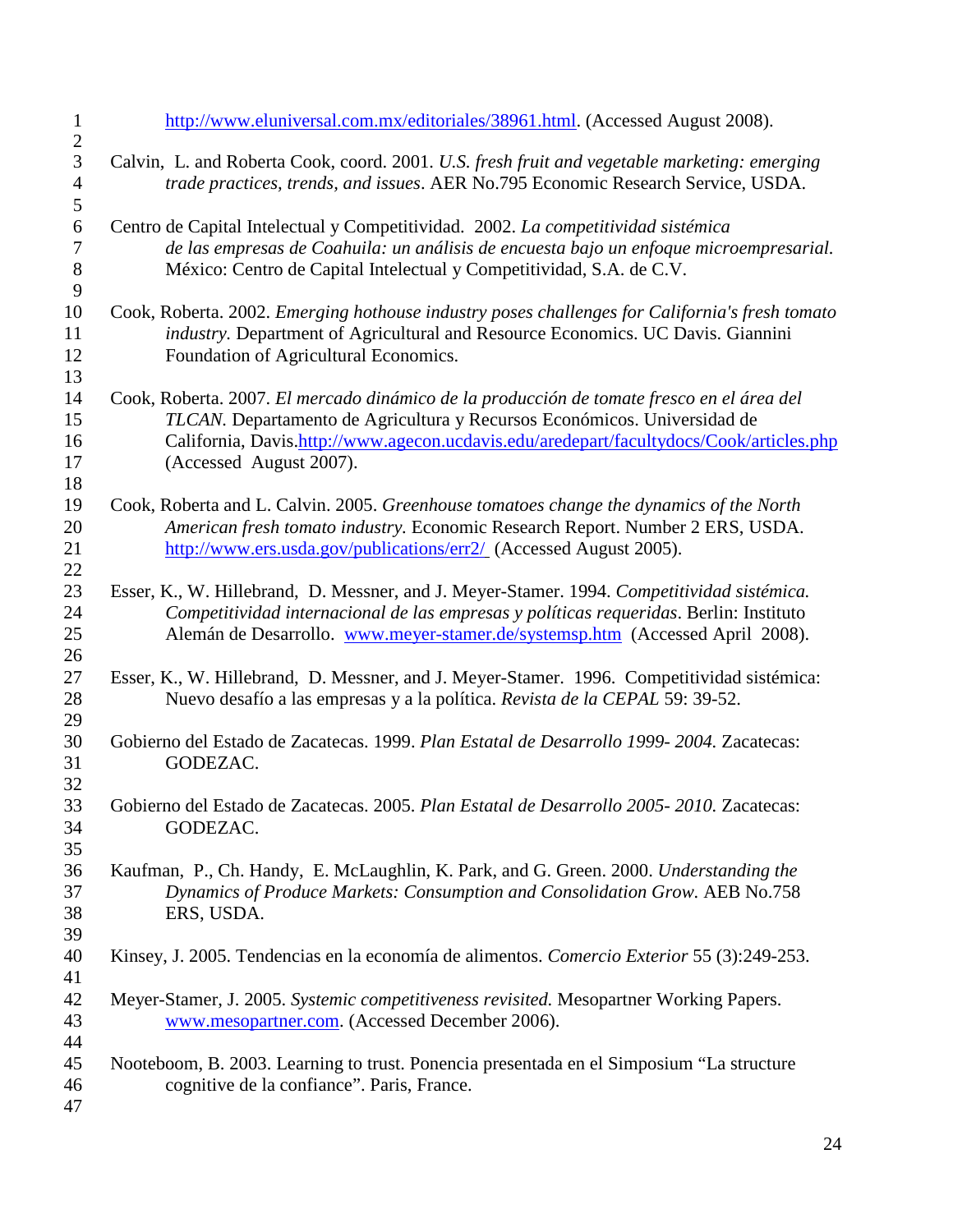| $\mathbf{1}$<br>$\overline{c}$ | http://www.eluniversal.com.mx/editoriales/38961.html. (Accessed August 2008).                                            |
|--------------------------------|--------------------------------------------------------------------------------------------------------------------------|
| $\overline{3}$                 | Calvin, L. and Roberta Cook, coord. 2001. U.S. fresh fruit and vegetable marketing: emerging                             |
| $\overline{4}$                 | trade practices, trends, and issues. AER No.795 Economic Research Service, USDA.                                         |
| 5                              |                                                                                                                          |
| $\boldsymbol{6}$               | Centro de Capital Intelectual y Competitividad. 2002. La competitividad sistémica                                        |
| $\tau$                         | de las empresas de Coahuila: un análisis de encuesta bajo un enfoque microempresarial.                                   |
| 8                              | México: Centro de Capital Intelectual y Competitividad, S.A. de C.V.                                                     |
| 9                              |                                                                                                                          |
| 10                             | Cook, Roberta. 2002. Emerging hothouse industry poses challenges for California's fresh tomato                           |
| 11<br>12                       | industry. Department of Agricultural and Resource Economics. UC Davis. Giannini<br>Foundation of Agricultural Economics. |
| 13                             |                                                                                                                          |
| 14                             | Cook, Roberta. 2007. El mercado dinámico de la producción de tomate fresco en el área del                                |
| 15                             | TLCAN. Departamento de Agricultura y Recursos Económicos. Universidad de                                                 |
| 16                             | California, Davis.http://www.agecon.ucdavis.edu/aredepart/facultydocs/Cook/articles.php                                  |
| 17                             | (Accessed August 2007).                                                                                                  |
| 18                             |                                                                                                                          |
| 19                             | Cook, Roberta and L. Calvin. 2005. Greenhouse tomatoes change the dynamics of the North                                  |
| 20                             | American fresh tomato industry. Economic Research Report. Number 2 ERS, USDA.                                            |
| 21<br>22                       | http://www.ers.usda.gov/publications/err2/ (Accessed August 2005).                                                       |
| 23                             | Esser, K., W. Hillebrand, D. Messner, and J. Meyer-Stamer. 1994. Competitividad sistémica.                               |
| 24                             | Competitividad internacional de las empresas y políticas requeridas. Berlin: Instituto                                   |
| 25                             | Alemán de Desarrollo. www.meyer-stamer.de/systemsp.htm (Accessed April 2008).                                            |
| 26                             |                                                                                                                          |
| 27                             | Esser, K., W. Hillebrand, D. Messner, and J. Meyer-Stamer. 1996. Competitividad sistémica:                               |
| 28                             | Nuevo desafío a las empresas y a la política. Revista de la CEPAL 59: 39-52.                                             |
| 29<br>30                       |                                                                                                                          |
| 31                             | Gobierno del Estado de Zacatecas. 1999. Plan Estatal de Desarrollo 1999-2004. Zacatecas:<br>GODEZAC.                     |
| 32                             |                                                                                                                          |
| 33                             | Gobierno del Estado de Zacatecas. 2005. Plan Estatal de Desarrollo 2005-2010. Zacatecas:                                 |
| 34                             | GODEZAC.                                                                                                                 |
| 35                             |                                                                                                                          |
| 36                             | Kaufman, P., Ch. Handy, E. McLaughlin, K. Park, and G. Green. 2000. Understanding the                                    |
| 37                             | Dynamics of Produce Markets: Consumption and Consolidation Grow. AEB No.758                                              |
| 38                             | ERS, USDA.                                                                                                               |
| 39                             |                                                                                                                          |
| 40<br>41                       | Kinsey, J. 2005. Tendencias en la economía de alimentos. Comercio Exterior 55 (3):249-253.                               |
| 42                             | Meyer-Stamer, J. 2005. Systemic competitiveness revisited. Mesopartner Working Papers.                                   |
| 43                             | www.mesopartner.com. (Accessed December 2006).                                                                           |
| 44                             |                                                                                                                          |
| 45                             | Nooteboom, B. 2003. Learning to trust. Ponencia presentada en el Simposium "La structure"                                |
| 46                             | cognitive de la confiance". Paris, France.                                                                               |
| 47                             |                                                                                                                          |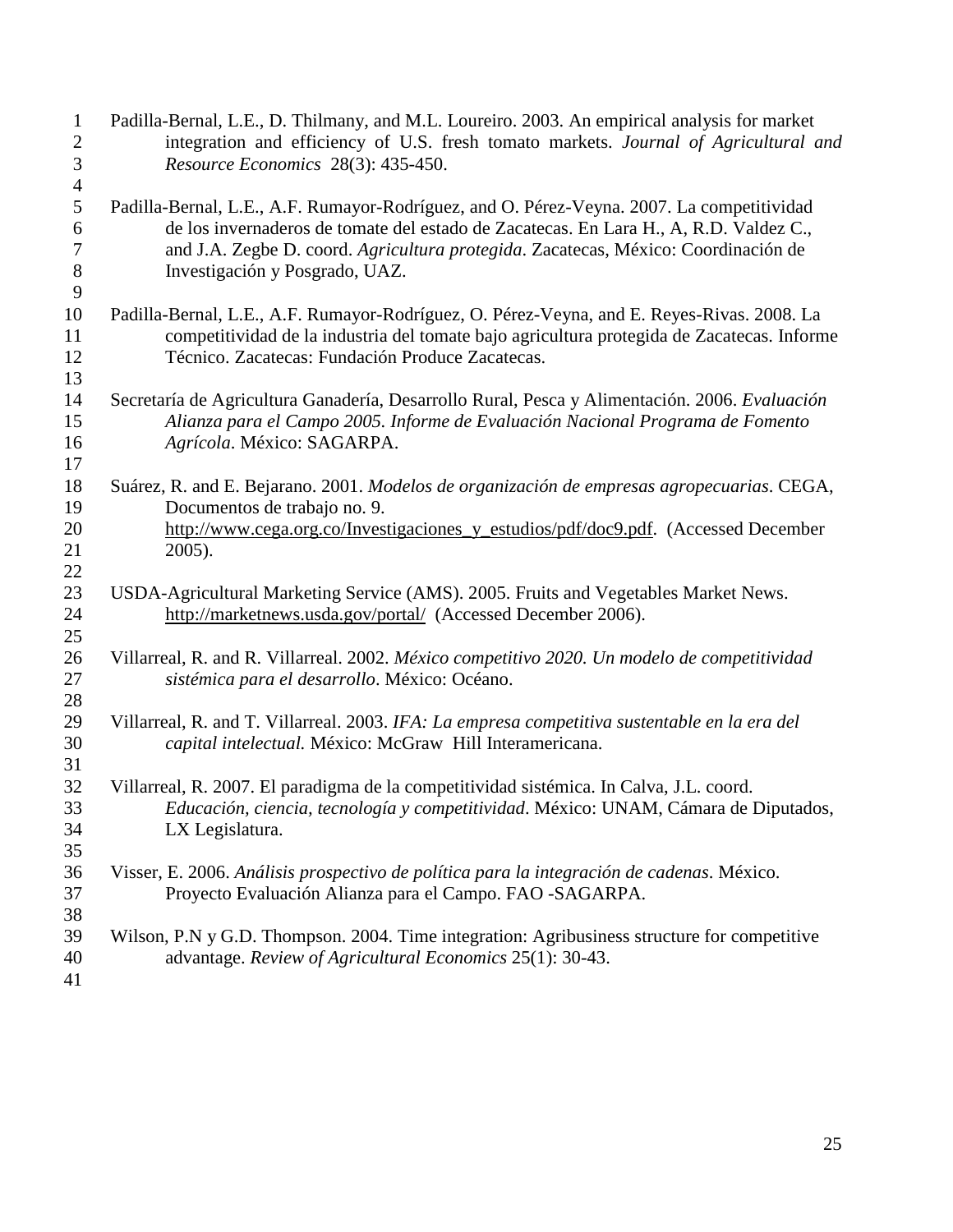| $\mathbf{1}$<br>$\mathbf{2}$<br>3<br>$\overline{4}$ | Padilla-Bernal, L.E., D. Thilmany, and M.L. Loureiro. 2003. An empirical analysis for market<br>integration and efficiency of U.S. fresh tomato markets. Journal of Agricultural and<br>Resource Economics 28(3): 435-450.                                                                                 |
|-----------------------------------------------------|------------------------------------------------------------------------------------------------------------------------------------------------------------------------------------------------------------------------------------------------------------------------------------------------------------|
| 5<br>6<br>7<br>$8\,$<br>9                           | Padilla-Bernal, L.E., A.F. Rumayor-Rodríguez, and O. Pérez-Veyna. 2007. La competitividad<br>de los invernaderos de tomate del estado de Zacatecas. En Lara H., A, R.D. Valdez C.,<br>and J.A. Zegbe D. coord. Agricultura protegida. Zacatecas, México: Coordinación de<br>Investigación y Posgrado, UAZ. |
| 10<br>11<br>12<br>13                                | Padilla-Bernal, L.E., A.F. Rumayor-Rodríguez, O. Pérez-Veyna, and E. Reyes-Rivas. 2008. La<br>competitividad de la industria del tomate bajo agricultura protegida de Zacatecas. Informe<br>Técnico. Zacatecas: Fundación Produce Zacatecas.                                                               |
| 14<br>15<br>16<br>17                                | Secretaría de Agricultura Ganadería, Desarrollo Rural, Pesca y Alimentación. 2006. Evaluación<br>Alianza para el Campo 2005. Informe de Evaluación Nacional Programa de Fomento<br>Agrícola. México: SAGARPA.                                                                                              |
| 18<br>19<br>20<br>21<br>22                          | Suárez, R. and E. Bejarano. 2001. Modelos de organización de empresas agropecuarias. CEGA,<br>Documentos de trabajo no. 9.<br>http://www.cega.org.co/Investigaciones_y_estudios/pdf/doc9.pdf. (Accessed December<br>2005).                                                                                 |
| 23<br>24<br>25                                      | USDA-Agricultural Marketing Service (AMS). 2005. Fruits and Vegetables Market News.<br>http://marketnews.usda.gov/portal/ (Accessed December 2006).                                                                                                                                                        |
| 26<br>27<br>28                                      | Villarreal, R. and R. Villarreal. 2002. México competitivo 2020. Un modelo de competitividad<br>sistémica para el desarrollo. México: Océano.                                                                                                                                                              |
| 29<br>30<br>31                                      | Villarreal, R. and T. Villarreal. 2003. IFA: La empresa competitiva sustentable en la era del<br>capital intelectual. México: McGraw Hill Interamericana.                                                                                                                                                  |
| 32<br>33<br>34<br>35                                | Villarreal, R. 2007. El paradigma de la competitividad sistémica. In Calva, J.L. coord.<br>Educación, ciencia, tecnología y competitividad. México: UNAM, Cámara de Diputados,<br>LX Legislatura.                                                                                                          |
| 36<br>37<br>38                                      | Visser, E. 2006. Análisis prospectivo de política para la integración de cadenas. México.<br>Proyecto Evaluación Alianza para el Campo. FAO -SAGARPA.                                                                                                                                                      |
| 39<br>40<br>41                                      | Wilson, P.N y G.D. Thompson. 2004. Time integration: Agribusiness structure for competitive<br>advantage. Review of Agricultural Economics 25(1): 30-43.                                                                                                                                                   |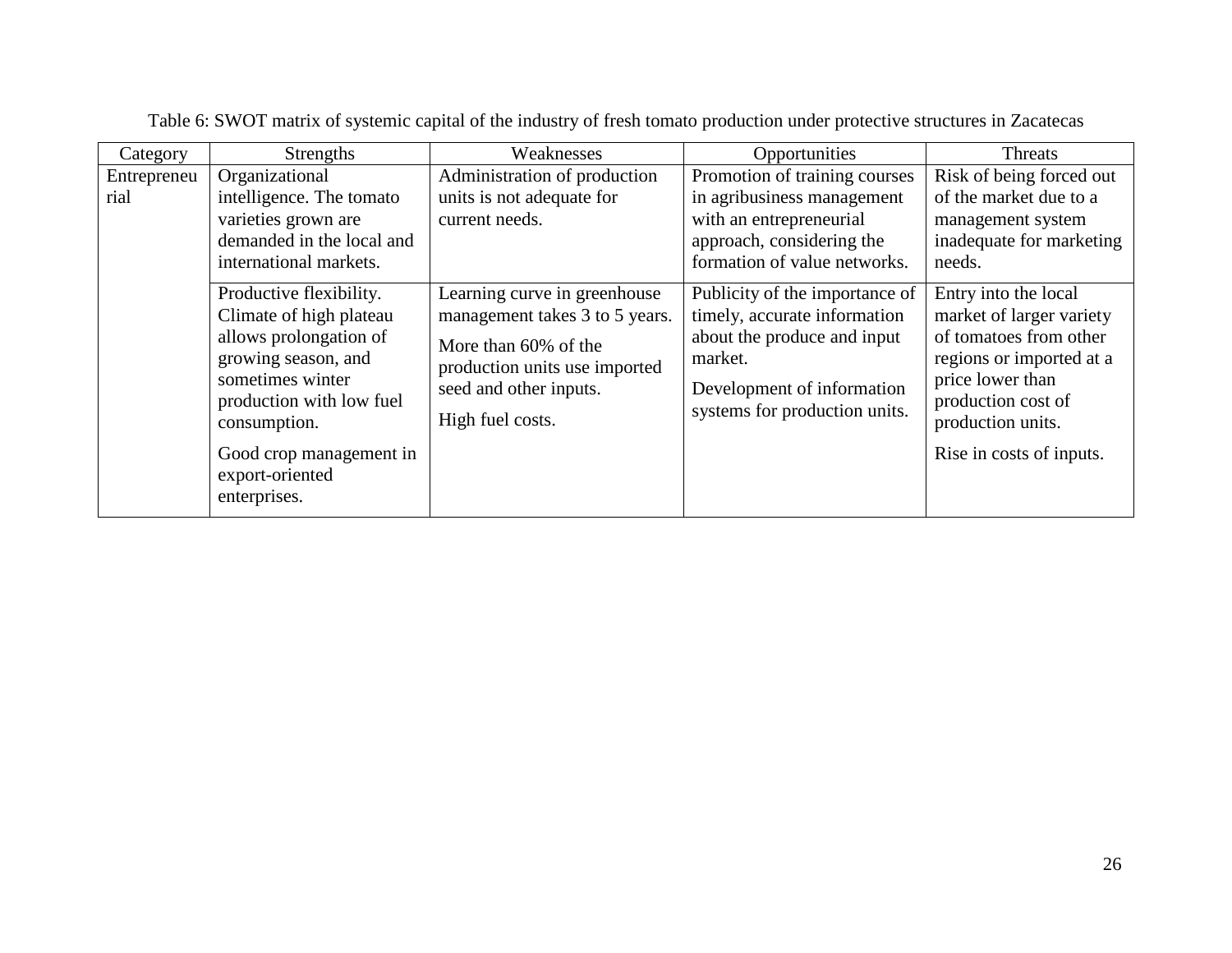| Category            | <b>Strengths</b>                                                                                                                                                                               | Weaknesses                                                                                                                                                            | Opportunities                                                                                                                                                           | Threats                                                                                                                                                                                           |
|---------------------|------------------------------------------------------------------------------------------------------------------------------------------------------------------------------------------------|-----------------------------------------------------------------------------------------------------------------------------------------------------------------------|-------------------------------------------------------------------------------------------------------------------------------------------------------------------------|---------------------------------------------------------------------------------------------------------------------------------------------------------------------------------------------------|
| Entrepreneu<br>rial | Organizational<br>intelligence. The tomato                                                                                                                                                     | Administration of production<br>units is not adequate for                                                                                                             | Promotion of training courses<br>in agribusiness management                                                                                                             | Risk of being forced out<br>of the market due to a                                                                                                                                                |
|                     | varieties grown are<br>demanded in the local and<br>international markets.                                                                                                                     | current needs.                                                                                                                                                        | with an entrepreneurial<br>approach, considering the<br>formation of value networks.                                                                                    | management system<br>inadequate for marketing<br>needs.                                                                                                                                           |
|                     | Productive flexibility.<br>Climate of high plateau<br>allows prolongation of<br>growing season, and<br>sometimes winter<br>production with low fuel<br>consumption.<br>Good crop management in | Learning curve in greenhouse<br>management takes 3 to 5 years.<br>More than 60% of the<br>production units use imported<br>seed and other inputs.<br>High fuel costs. | Publicity of the importance of<br>timely, accurate information<br>about the produce and input<br>market.<br>Development of information<br>systems for production units. | Entry into the local<br>market of larger variety<br>of tomatoes from other<br>regions or imported at a<br>price lower than<br>production cost of<br>production units.<br>Rise in costs of inputs. |
|                     | export-oriented<br>enterprises.                                                                                                                                                                |                                                                                                                                                                       |                                                                                                                                                                         |                                                                                                                                                                                                   |

Table 6: SWOT matrix of systemic capital of the industry of fresh tomato production under protective structures in Zacatecas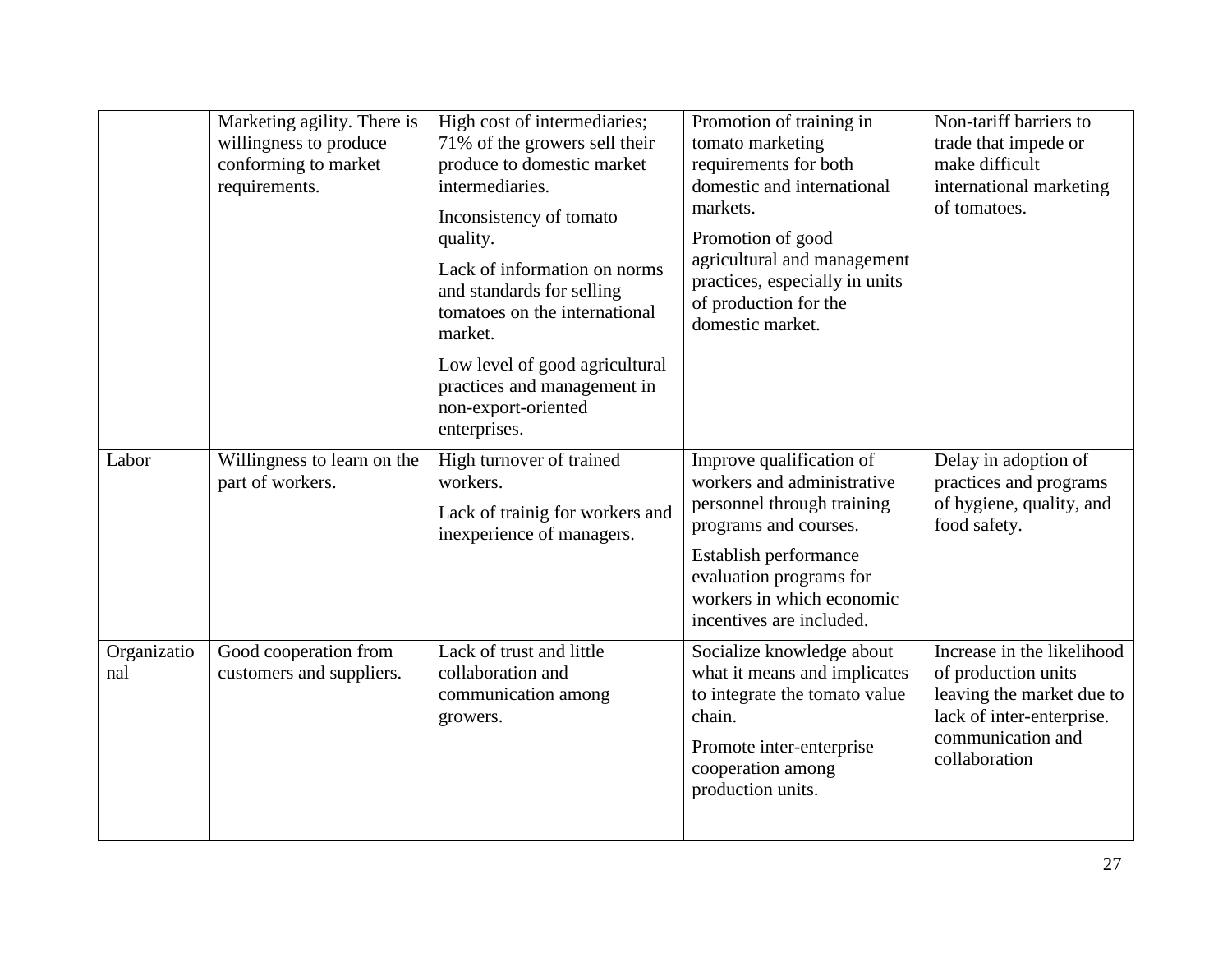|                    | Marketing agility. There is<br>willingness to produce<br>conforming to market<br>requirements. | High cost of intermediaries;<br>71% of the growers sell their<br>produce to domestic market<br>intermediaries.<br>Inconsistency of tomato<br>quality.<br>Lack of information on norms<br>and standards for selling<br>tomatoes on the international<br>market.<br>Low level of good agricultural<br>practices and management in<br>non-export-oriented | Promotion of training in<br>tomato marketing<br>requirements for both<br>domestic and international<br>markets.<br>Promotion of good<br>agricultural and management<br>practices, especially in units<br>of production for the<br>domestic market. | Non-tariff barriers to<br>trade that impede or<br>make difficult<br>international marketing<br>of tomatoes.                                       |
|--------------------|------------------------------------------------------------------------------------------------|--------------------------------------------------------------------------------------------------------------------------------------------------------------------------------------------------------------------------------------------------------------------------------------------------------------------------------------------------------|----------------------------------------------------------------------------------------------------------------------------------------------------------------------------------------------------------------------------------------------------|---------------------------------------------------------------------------------------------------------------------------------------------------|
| Labor              | Willingness to learn on the<br>part of workers.                                                | enterprises.<br>High turnover of trained<br>workers.<br>Lack of trainig for workers and<br>inexperience of managers.                                                                                                                                                                                                                                   | Improve qualification of<br>workers and administrative<br>personnel through training<br>programs and courses.<br>Establish performance<br>evaluation programs for<br>workers in which economic<br>incentives are included.                         | Delay in adoption of<br>practices and programs<br>of hygiene, quality, and<br>food safety.                                                        |
| Organizatio<br>nal | Good cooperation from<br>customers and suppliers.                                              | Lack of trust and little<br>collaboration and<br>communication among<br>growers.                                                                                                                                                                                                                                                                       | Socialize knowledge about<br>what it means and implicates<br>to integrate the tomato value<br>chain.<br>Promote inter-enterprise<br>cooperation among<br>production units.                                                                         | Increase in the likelihood<br>of production units<br>leaving the market due to<br>lack of inter-enterprise.<br>communication and<br>collaboration |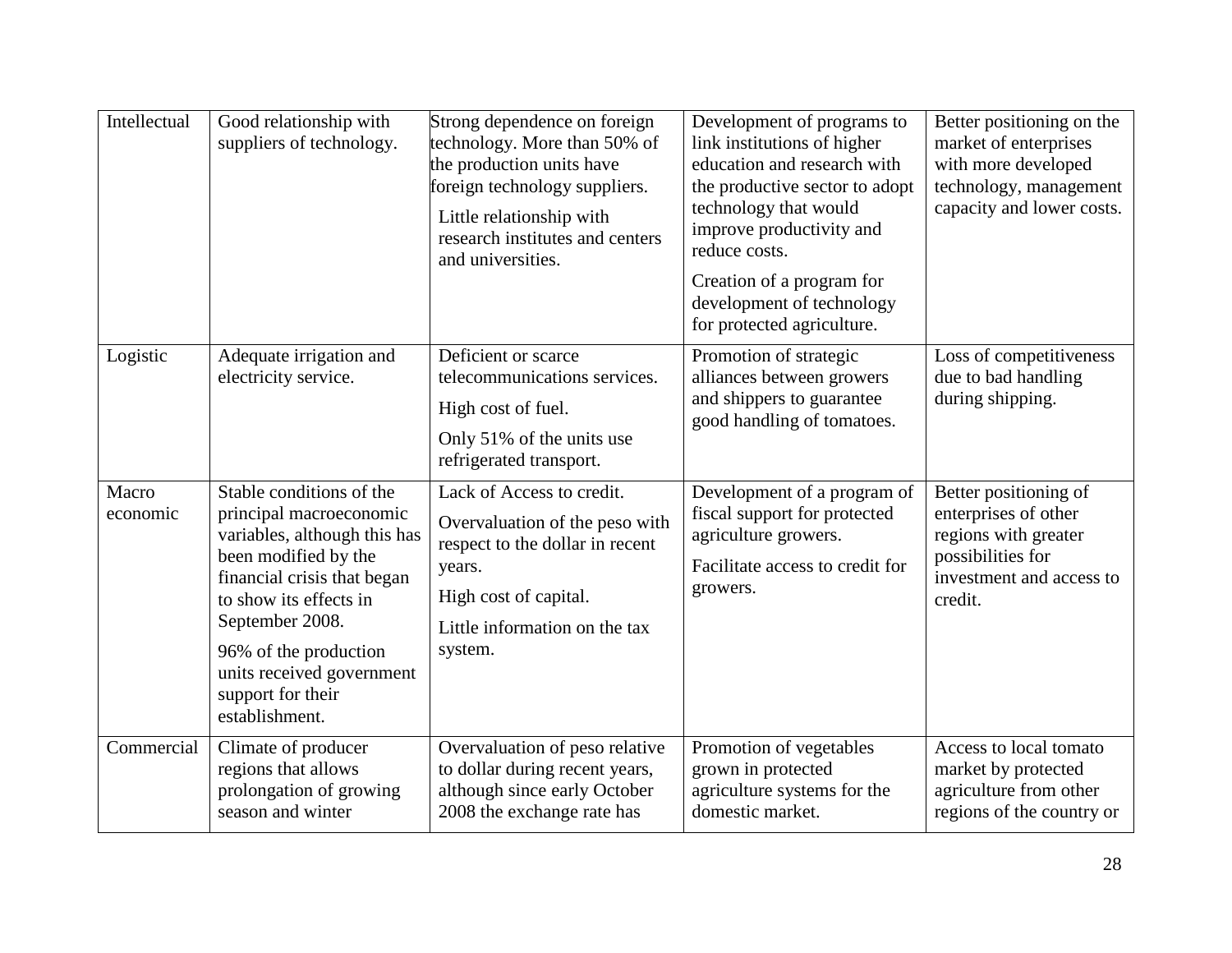| Intellectual      | Good relationship with<br>suppliers of technology.                                                                                                                                                                                                                                   | Strong dependence on foreign<br>technology. More than 50% of<br>the production units have<br>foreign technology suppliers.<br>Little relationship with<br>research institutes and centers<br>and universities. | Development of programs to<br>link institutions of higher<br>education and research with<br>the productive sector to adopt<br>technology that would<br>improve productivity and<br>reduce costs.<br>Creation of a program for<br>development of technology<br>for protected agriculture. | Better positioning on the<br>market of enterprises<br>with more developed<br>technology, management<br>capacity and lower costs.  |
|-------------------|--------------------------------------------------------------------------------------------------------------------------------------------------------------------------------------------------------------------------------------------------------------------------------------|----------------------------------------------------------------------------------------------------------------------------------------------------------------------------------------------------------------|------------------------------------------------------------------------------------------------------------------------------------------------------------------------------------------------------------------------------------------------------------------------------------------|-----------------------------------------------------------------------------------------------------------------------------------|
| Logistic          | Adequate irrigation and<br>electricity service.                                                                                                                                                                                                                                      | Deficient or scarce<br>telecommunications services.<br>High cost of fuel.<br>Only 51% of the units use<br>refrigerated transport.                                                                              | Promotion of strategic<br>alliances between growers<br>and shippers to guarantee<br>good handling of tomatoes.                                                                                                                                                                           | Loss of competitiveness<br>due to bad handling<br>during shipping.                                                                |
| Macro<br>economic | Stable conditions of the<br>principal macroeconomic<br>variables, although this has<br>been modified by the<br>financial crisis that began<br>to show its effects in<br>September 2008.<br>96% of the production<br>units received government<br>support for their<br>establishment. | Lack of Access to credit.<br>Overvaluation of the peso with<br>respect to the dollar in recent<br>years.<br>High cost of capital.<br>Little information on the tax<br>system.                                  | Development of a program of<br>fiscal support for protected<br>agriculture growers.<br>Facilitate access to credit for<br>growers.                                                                                                                                                       | Better positioning of<br>enterprises of other<br>regions with greater<br>possibilities for<br>investment and access to<br>credit. |
| Commercial        | Climate of producer<br>regions that allows<br>prolongation of growing<br>season and winter                                                                                                                                                                                           | Overvaluation of peso relative<br>to dollar during recent years,<br>although since early October<br>2008 the exchange rate has                                                                                 | Promotion of vegetables<br>grown in protected<br>agriculture systems for the<br>domestic market.                                                                                                                                                                                         | Access to local tomato<br>market by protected<br>agriculture from other<br>regions of the country or                              |